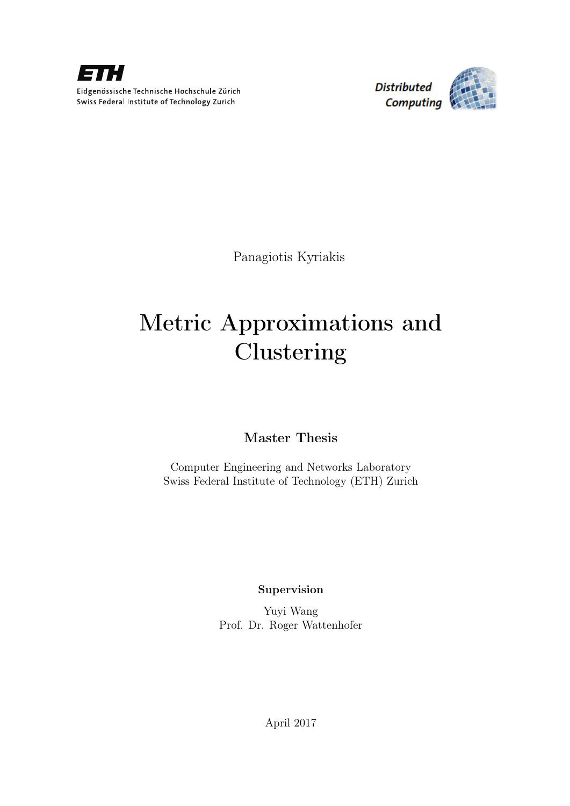

**Distributed** Computing



Panagiotis Kyriakis

# Metric Approximations and Clustering

# Master Thesis

Computer Engineering and Networks Laboratory Swiss Federal Institute of Technology (ETH) Zurich

Supervision

Yuyi Wang Prof. Dr. Roger Wattenhofer

April 2017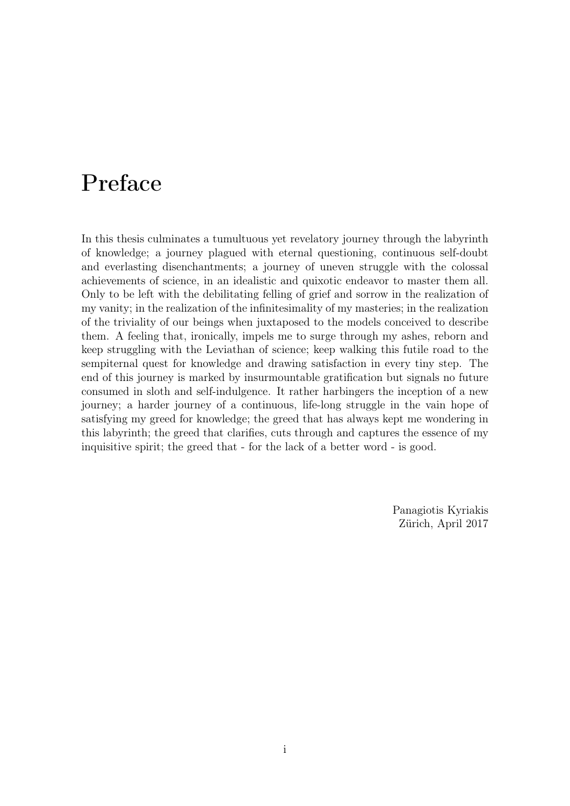# Preface

In this thesis culminates a tumultuous yet revelatory journey through the labyrinth of knowledge; a journey plagued with eternal questioning, continuous self-doubt and everlasting disenchantments; a journey of uneven struggle with the colossal achievements of science, in an idealistic and quixotic endeavor to master them all. Only to be left with the debilitating felling of grief and sorrow in the realization of my vanity; in the realization of the infinitesimality of my masteries; in the realization of the triviality of our beings when juxtaposed to the models conceived to describe them. A feeling that, ironically, impels me to surge through my ashes, reborn and keep struggling with the Leviathan of science; keep walking this futile road to the sempiternal quest for knowledge and drawing satisfaction in every tiny step. The end of this journey is marked by insurmountable gratification but signals no future consumed in sloth and self-indulgence. It rather harbingers the inception of a new journey; a harder journey of a continuous, life-long struggle in the vain hope of satisfying my greed for knowledge; the greed that has always kept me wondering in this labyrinth; the greed that clarifies, cuts through and captures the essence of my inquisitive spirit; the greed that - for the lack of a better word - is good.

> Panagiotis Kyriakis Zürich, April 2017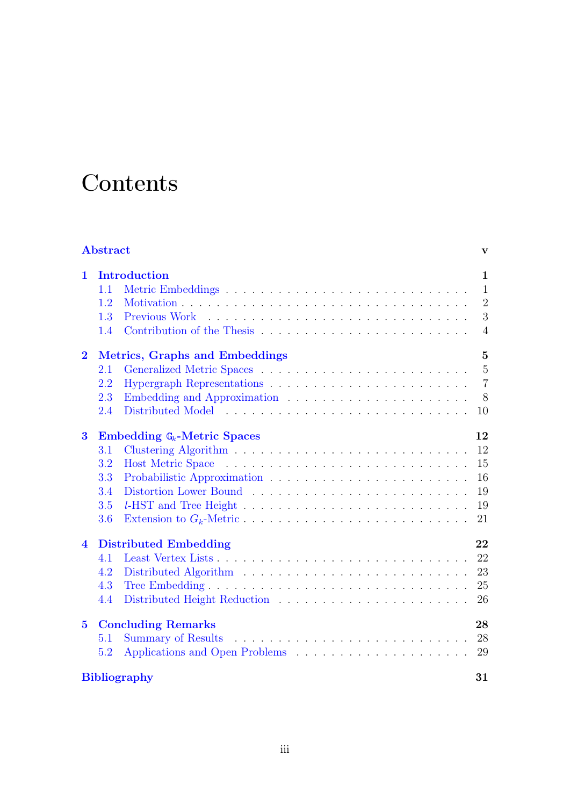# **Contents**

| <b>Abstract</b><br>V      |                                                  |                            |                |  |
|---------------------------|--------------------------------------------------|----------------------------|----------------|--|
| 1                         |                                                  | <b>Introduction</b>        | $\mathbf{1}$   |  |
|                           | 1.1                                              |                            | 1              |  |
|                           | 1.2                                              |                            | $\overline{2}$ |  |
|                           | 1.3                                              |                            | 3              |  |
|                           | 1.4                                              | Contribution of the Thesis | $\overline{4}$ |  |
| $\bf{2}$                  | $\overline{5}$<br>Metrics, Graphs and Embeddings |                            |                |  |
|                           | 2.1                                              |                            | $\overline{5}$ |  |
|                           | 2.2                                              |                            | $\overline{7}$ |  |
|                           | 2.3                                              |                            | 8              |  |
|                           | 2.4                                              |                            | 10             |  |
| $\bf{3}$                  | Embedding $\mathbb{G}_k$ -Metric Spaces          |                            |                |  |
|                           | 3.1                                              |                            | 12             |  |
|                           | 3.2                                              | <b>Host Metric Space</b>   | 15             |  |
|                           | 3.3                                              |                            | 16             |  |
|                           | 3.4                                              |                            | 19             |  |
|                           | 3.5                                              |                            | 19             |  |
|                           | 3.6                                              |                            | 21             |  |
| 4                         | <b>Distributed Embedding</b><br>22               |                            |                |  |
|                           | 4.1                                              |                            | 22             |  |
|                           | 4.2                                              |                            | 23             |  |
|                           | 4.3                                              |                            | 25             |  |
|                           | 4.4                                              |                            | 26             |  |
| $\bf{5}$                  | <b>Concluding Remarks</b><br>28                  |                            |                |  |
|                           | 5.1                                              |                            | 28             |  |
|                           | 5.2                                              |                            | 29             |  |
| <b>Bibliography</b><br>31 |                                                  |                            |                |  |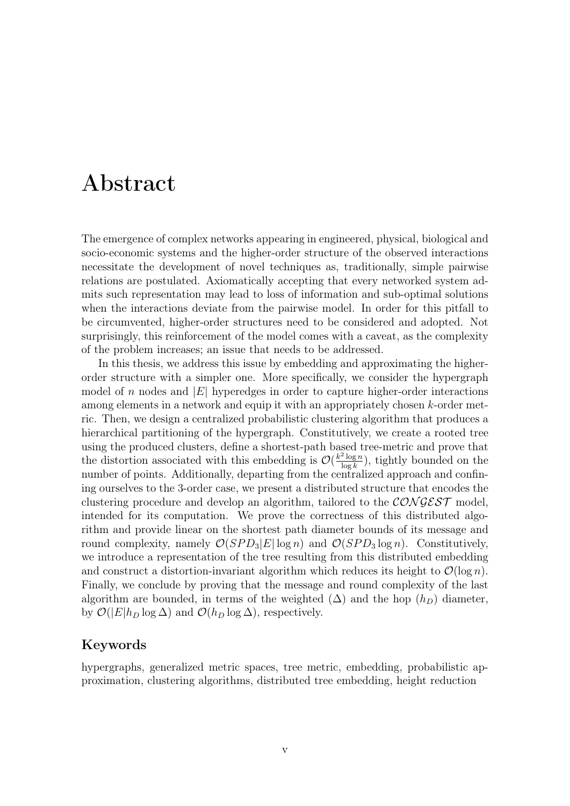# <span id="page-6-0"></span>Abstract

The emergence of complex networks appearing in engineered, physical, biological and socio-economic systems and the higher-order structure of the observed interactions necessitate the development of novel techniques as, traditionally, simple pairwise relations are postulated. Axiomatically accepting that every networked system admits such representation may lead to loss of information and sub-optimal solutions when the interactions deviate from the pairwise model. In order for this pitfall to be circumvented, higher-order structures need to be considered and adopted. Not surprisingly, this reinforcement of the model comes with a caveat, as the complexity of the problem increases; an issue that needs to be addressed.

In this thesis, we address this issue by embedding and approximating the higherorder structure with a simpler one. More specifically, we consider the hypergraph model of n nodes and  $|E|$  hyperedges in order to capture higher-order interactions among elements in a network and equip it with an appropriately chosen k-order metric. Then, we design a centralized probabilistic clustering algorithm that produces a hierarchical partitioning of the hypergraph. Constitutively, we create a rooted tree using the produced clusters, define a shortest-path based tree-metric and prove that the distortion associated with this embedding is  $\mathcal{O}(\frac{k^2 \log n}{\log k})$  $\frac{2\log n}{\log k}$ , tightly bounded on the number of points. Additionally, departing from the centralized approach and confining ourselves to the 3-order case, we present a distributed structure that encodes the clustering procedure and develop an algorithm, tailored to the  $\mathcal{CONGEST}$  model, intended for its computation. We prove the correctness of this distributed algorithm and provide linear on the shortest path diameter bounds of its message and round complexity, namely  $\mathcal{O}(SPD_3|E|\log n)$  and  $\mathcal{O}(SPD_3\log n)$ . Constitutively, we introduce a representation of the tree resulting from this distributed embedding and construct a distortion-invariant algorithm which reduces its height to  $\mathcal{O}(\log n)$ . Finally, we conclude by proving that the message and round complexity of the last algorithm are bounded, in terms of the weighted  $(\Delta)$  and the hop  $(h_D)$  diameter, by  $\mathcal{O}(|E|h_D \log \Delta)$  and  $\mathcal{O}(h_D \log \Delta)$ , respectively.

#### Keywords

hypergraphs, generalized metric spaces, tree metric, embedding, probabilistic approximation, clustering algorithms, distributed tree embedding, height reduction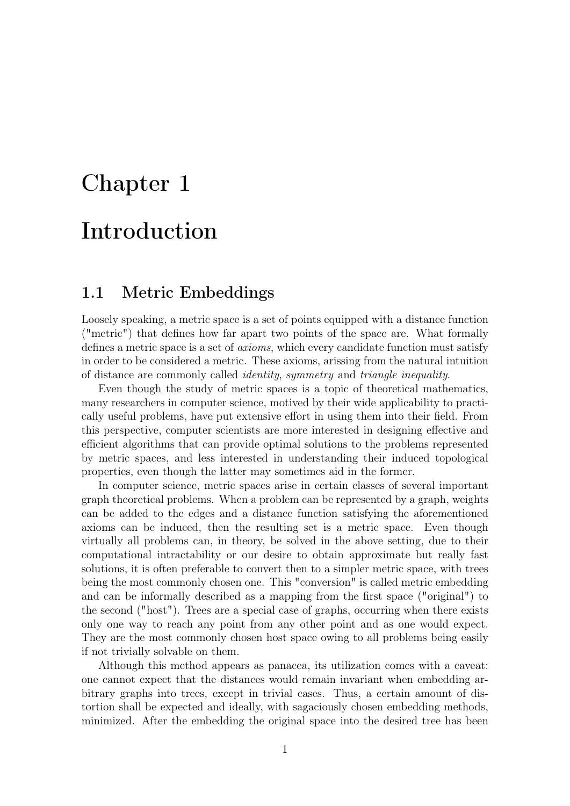# <span id="page-8-0"></span>Chapter 1 Introduction

## <span id="page-8-1"></span>1.1 Metric Embeddings

Loosely speaking, a metric space is a set of points equipped with a distance function ("metric") that defines how far apart two points of the space are. What formally defines a metric space is a set of axioms, which every candidate function must satisfy in order to be considered a metric. These axioms, arissing from the natural intuition of distance are commonly called identity, symmetry and triangle inequality.

Even though the study of metric spaces is a topic of theoretical mathematics, many researchers in computer science, motived by their wide applicability to practically useful problems, have put extensive effort in using them into their field. From this perspective, computer scientists are more interested in designing effective and efficient algorithms that can provide optimal solutions to the problems represented by metric spaces, and less interested in understanding their induced topological properties, even though the latter may sometimes aid in the former.

In computer science, metric spaces arise in certain classes of several important graph theoretical problems. When a problem can be represented by a graph, weights can be added to the edges and a distance function satisfying the aforementioned axioms can be induced, then the resulting set is a metric space. Even though virtually all problems can, in theory, be solved in the above setting, due to their computational intractability or our desire to obtain approximate but really fast solutions, it is often preferable to convert then to a simpler metric space, with trees being the most commonly chosen one. This "conversion" is called metric embedding and can be informally described as a mapping from the first space ("original") to the second ("host"). Trees are a special case of graphs, occurring when there exists only one way to reach any point from any other point and as one would expect. They are the most commonly chosen host space owing to all problems being easily if not trivially solvable on them.

Although this method appears as panacea, its utilization comes with a caveat: one cannot expect that the distances would remain invariant when embedding arbitrary graphs into trees, except in trivial cases. Thus, a certain amount of distortion shall be expected and ideally, with sagaciously chosen embedding methods, minimized. After the embedding the original space into the desired tree has been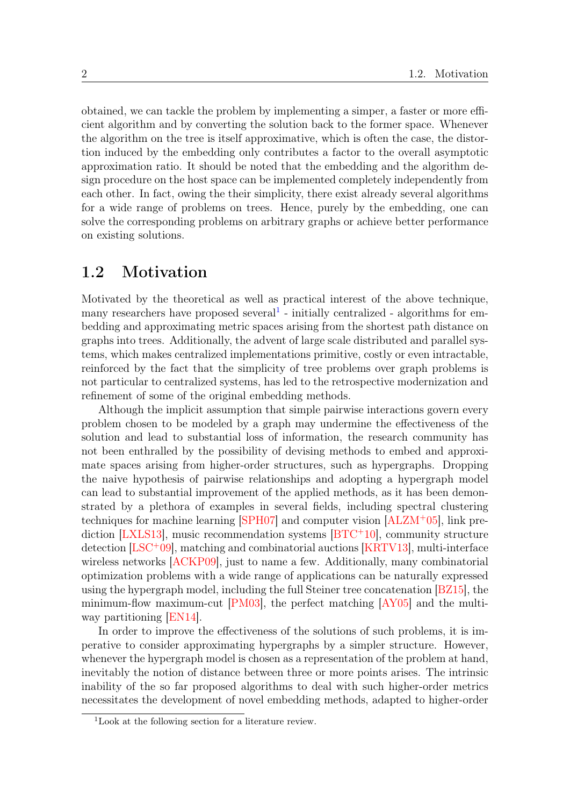obtained, we can tackle the problem by implementing a simper, a faster or more efficient algorithm and by converting the solution back to the former space. Whenever the algorithm on the tree is itself approximative, which is often the case, the distortion induced by the embedding only contributes a factor to the overall asymptotic approximation ratio. It should be noted that the embedding and the algorithm design procedure on the host space can be implemented completely independently from each other. In fact, owing the their simplicity, there exist already several algorithms for a wide range of problems on trees. Hence, purely by the embedding, one can solve the corresponding problems on arbitrary graphs or achieve better performance on existing solutions.

#### <span id="page-9-0"></span>1.2 Motivation

Motivated by the theoretical as well as practical interest of the above technique, many researchers have proposed several<sup>[1](#page-9-1)</sup> - initially centralized - algorithms for embedding and approximating metric spaces arising from the shortest path distance on graphs into trees. Additionally, the advent of large scale distributed and parallel systems, which makes centralized implementations primitive, costly or even intractable, reinforced by the fact that the simplicity of tree problems over graph problems is not particular to centralized systems, has led to the retrospective modernization and refinement of some of the original embedding methods.

Although the implicit assumption that simple pairwise interactions govern every problem chosen to be modeled by a graph may undermine the effectiveness of the solution and lead to substantial loss of information, the research community has not been enthralled by the possibility of devising methods to embed and approximate spaces arising from higher-order structures, such as hypergraphs. Dropping the naive hypothesis of pairwise relationships and adopting a hypergraph model can lead to substantial improvement of the applied methods, as it has been demonstrated by a plethora of examples in several fields, including spectral clustering techniques for machine learning [\[SPH07\]](#page-42-0) and computer vision [\[ALZM](#page-38-1)<sup>+</sup>05], link prediction [\[LXLS13\]](#page-41-0), music recommendation systems [\[BTC](#page-39-0)<sup>+</sup>10], community structure detection [\[LSC](#page-41-1)<sup>+</sup>09], matching and combinatorial auctions [\[KRTV13\]](#page-41-2), multi-interface wireless networks [\[ACKP09\]](#page-38-2), just to name a few. Additionally, many combinatorial optimization problems with a wide range of applications can be naturally expressed using the hypergraph model, including the full Steiner tree concatenation [\[BZ15\]](#page-39-1), the minimum-flow maximum-cut [\[PM03\]](#page-41-3), the perfect matching [\[AY05\]](#page-38-3) and the multiway partitioning [\[EN14\]](#page-39-2).

In order to improve the effectiveness of the solutions of such problems, it is imperative to consider approximating hypergraphs by a simpler structure. However, whenever the hypergraph model is chosen as a representation of the problem at hand, inevitably the notion of distance between three or more points arises. The intrinsic inability of the so far proposed algorithms to deal with such higher-order metrics necessitates the development of novel embedding methods, adapted to higher-order

<span id="page-9-1"></span><sup>1</sup>Look at the following section for a literature review.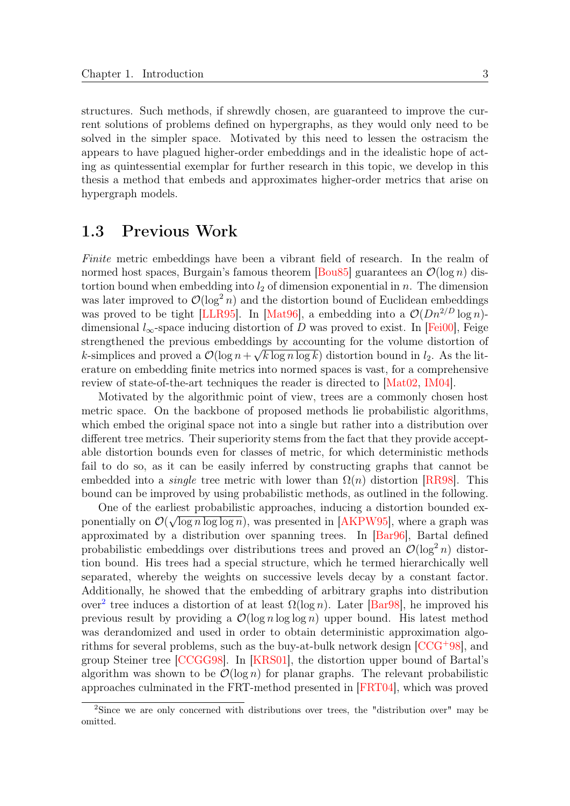structures. Such methods, if shrewdly chosen, are guaranteed to improve the current solutions of problems defined on hypergraphs, as they would only need to be solved in the simpler space. Motivated by this need to lessen the ostracism the appears to have plagued higher-order embeddings and in the idealistic hope of acting as quintessential exemplar for further research in this topic, we develop in this thesis a method that embeds and approximates higher-order metrics that arise on hypergraph models.

# <span id="page-10-0"></span>1.3 Previous Work

Finite metric embeddings have been a vibrant field of research. In the realm of normed host spaces, Burgain's famous theorem [\[Bou85\]](#page-39-3) guarantees an  $\mathcal{O}(\log n)$  distortion bound when embedding into  $l_2$  of dimension exponential in n. The dimension was later improved to  $\mathcal{O}(\log^2 n)$  and the distortion bound of Euclidean embeddings was proved to be tight [\[LLR95\]](#page-41-4). In [\[Mat96\]](#page-41-5), a embedding into a  $\mathcal{O}(Dn^{2/D} \log n)$ dimensional  $l_{\infty}$ -space inducing distortion of D was proved to exist. In [\[Fei00\]](#page-40-0), Feige strengthened the previous embeddings by accounting for the volume distortion of k-simplices and proved a  $\mathcal{O}(\log n + \sqrt{k \log n \log k})$  distortion bound in  $l_2$ . As the literature on embedding finite metrics into normed spaces is vast, for a comprehensive review of state-of-the-art techniques the reader is directed to [\[Mat02,](#page-41-6) [IM04\]](#page-40-1).

Motivated by the algorithmic point of view, trees are a commonly chosen host metric space. On the backbone of proposed methods lie probabilistic algorithms, which embed the original space not into a single but rather into a distribution over different tree metrics. Their superiority stems from the fact that they provide acceptable distortion bounds even for classes of metric, for which deterministic methods fail to do so, as it can be easily inferred by constructing graphs that cannot be embedded into a *single* tree metric with lower than  $\Omega(n)$  distortion [\[RR98\]](#page-42-1). This bound can be improved by using probabilistic methods, as outlined in the following.

One of the earliest probabilistic approaches, inducing a distortion bounded exponentially on  $\mathcal{O}(\sqrt{\log n \log \log n})$ , was presented in [\[AKPW95\]](#page-38-4), where a graph was approximated by a distribution over spanning trees. In [\[Bar96\]](#page-38-5), Bartal defined probabilistic embeddings over distributions trees and proved an  $\mathcal{O}(\log^2 n)$  distortion bound. His trees had a special structure, which he termed hierarchically well separated, whereby the weights on successive levels decay by a constant factor. Additionally, he showed that the embedding of arbitrary graphs into distribution over<sup>[2](#page-10-1)</sup> tree induces a distortion of at least  $\Omega(\log n)$ . Later [\[Bar98\]](#page-38-6), he improved his previous result by providing a  $\mathcal{O}(\log n \log \log n)$  upper bound. His latest method was derandomized and used in order to obtain deterministic approximation algorithms for several problems, such as the buy-at-bulk network design  $[CCG+98]$  $[CCG+98]$ , and group Steiner tree [\[CCGG98\]](#page-39-5). In [\[KRS01\]](#page-41-7), the distortion upper bound of Bartal's algorithm was shown to be  $\mathcal{O}(\log n)$  for planar graphs. The relevant probabilistic approaches culminated in the FRT-method presented in [\[FRT04\]](#page-40-2), which was proved

<span id="page-10-1"></span><sup>2</sup>Since we are only concerned with distributions over trees, the "distribution over" may be omitted.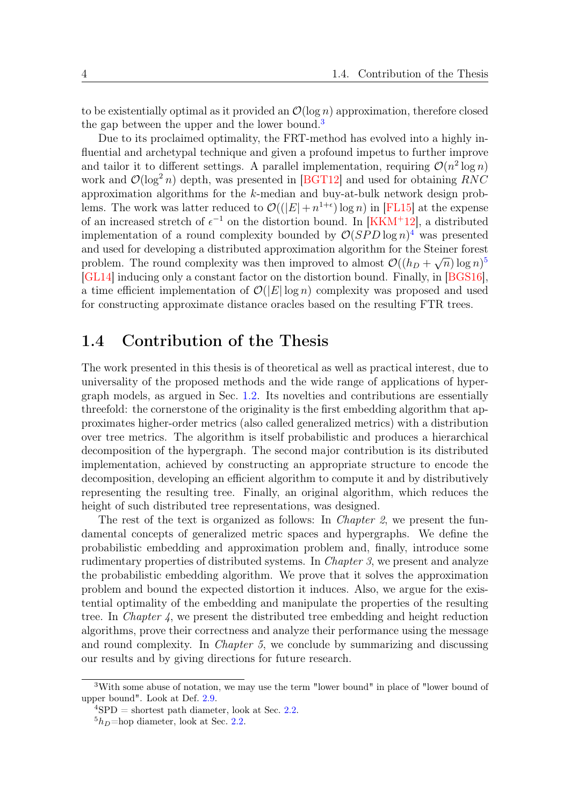to be existentially optimal as it provided an  $\mathcal{O}(\log n)$  approximation, therefore closed the gap between the upper and the lower bound.<sup>[3](#page-11-1)</sup>

Due to its proclaimed optimality, the FRT-method has evolved into a highly influential and archetypal technique and given a profound impetus to further improve and tailor it to different settings. A parallel implementation, requiring  $\mathcal{O}(n^2 \log n)$ work and  $\mathcal{O}(\log^2 n)$  depth, was presented in [\[BGT12\]](#page-39-6) and used for obtaining RNC approximation algorithms for the  $k$ -median and buy-at-bulk network design problems. The work was latter reduced to  $\mathcal{O}((|E| + n^{1+\epsilon}) \log n)$  in [\[FL15\]](#page-40-3) at the expense of an increased stretch of  $\epsilon^{-1}$  on the distortion bound. In [\[KKM](#page-40-4)<sup>+</sup>12], a distributed implementation of a round complexity bounded by  $\mathcal{O}(SPD \log n)^4$  $\mathcal{O}(SPD \log n)^4$  was presented and used for developing a distributed approximation algorithm for the Steiner forest problem. The round complexity was then improved to almost  $\mathcal{O}((h_D + \sqrt{n}) \log n)^5$  $\mathcal{O}((h_D + \sqrt{n}) \log n)^5$ [\[GL14\]](#page-40-5) inducing only a constant factor on the distortion bound. Finally, in [\[BGS16\]](#page-39-7), a time efficient implementation of  $\mathcal{O}(|E| \log n)$  complexity was proposed and used for constructing approximate distance oracles based on the resulting FTR trees.

## <span id="page-11-0"></span>1.4 Contribution of the Thesis

The work presented in this thesis is of theoretical as well as practical interest, due to universality of the proposed methods and the wide range of applications of hypergraph models, as argued in Sec. [1.2.](#page-9-0) Its novelties and contributions are essentially threefold: the cornerstone of the originality is the first embedding algorithm that approximates higher-order metrics (also called generalized metrics) with a distribution over tree metrics. The algorithm is itself probabilistic and produces a hierarchical decomposition of the hypergraph. The second major contribution is its distributed implementation, achieved by constructing an appropriate structure to encode the decomposition, developing an efficient algorithm to compute it and by distributively representing the resulting tree. Finally, an original algorithm, which reduces the height of such distributed tree representations, was designed.

The rest of the text is organized as follows: In *Chapter 2*, we present the fundamental concepts of generalized metric spaces and hypergraphs. We define the probabilistic embedding and approximation problem and, finally, introduce some rudimentary properties of distributed systems. In Chapter 3, we present and analyze the probabilistic embedding algorithm. We prove that it solves the approximation problem and bound the expected distortion it induces. Also, we argue for the existential optimality of the embedding and manipulate the properties of the resulting tree. In *Chapter 4*, we present the distributed tree embedding and height reduction algorithms, prove their correctness and analyze their performance using the message and round complexity. In *Chapter 5*, we conclude by summarizing and discussing our results and by giving directions for future research.

<span id="page-11-1"></span><sup>3</sup>With some abuse of notation, we may use the term "lower bound" in place of "lower bound of upper bound". Look at Def. [2.9.](#page-16-0)

<span id="page-11-2"></span> $^{4}$ SPD = shortest path diameter, look at Sec. [2.2.](#page-14-0)

<span id="page-11-3"></span> $5h_D$ =hop diameter, look at Sec. [2.2.](#page-14-0)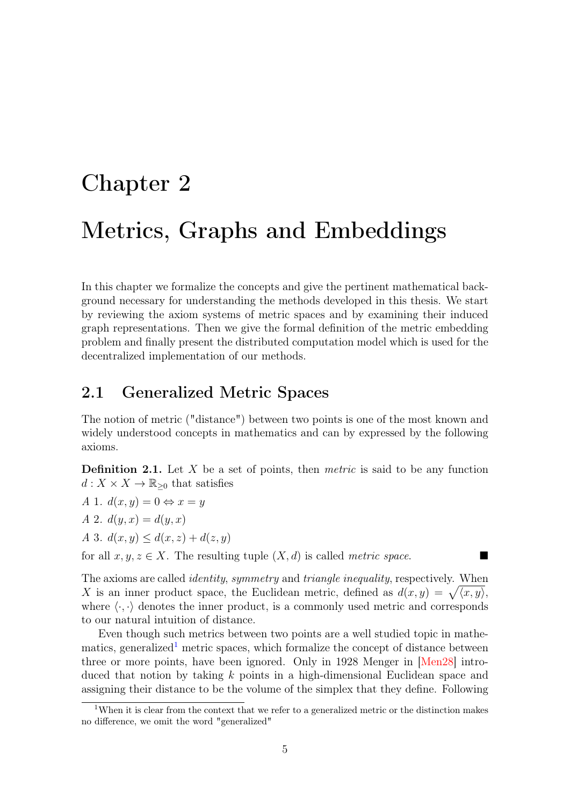# <span id="page-12-0"></span>Chapter 2 Metrics, Graphs and Embeddings

In this chapter we formalize the concepts and give the pertinent mathematical background necessary for understanding the methods developed in this thesis. We start by reviewing the axiom systems of metric spaces and by examining their induced graph representations. Then we give the formal definition of the metric embedding problem and finally present the distributed computation model which is used for the decentralized implementation of our methods.

### <span id="page-12-1"></span>2.1 Generalized Metric Spaces

The notion of metric ("distance") between two points is one of the most known and widely understood concepts in mathematics and can by expressed by the following axioms.

<span id="page-12-3"></span>**Definition 2.1.** Let  $X$  be a set of points, then *metric* is said to be any function  $d: X \times X \to \mathbb{R}_{\geq 0}$  that satisfies

- A 1.  $d(x, y) = 0 \Leftrightarrow x = y$
- A 2.  $d(y, x) = d(y, x)$
- A 3.  $d(x, y) \leq d(x, z) + d(z, y)$

for all  $x, y, z \in X$ . The resulting tuple  $(X, d)$  is called metric space.

The axioms are called *identity, symmetry* and *triangle inequality*, respectively. When X is an inner product space, the Euclidean metric, defined as  $d(x, y) = \sqrt{\langle x, y \rangle},$ where  $\langle \cdot, \cdot \rangle$  denotes the inner product, is a commonly used metric and corresponds to our natural intuition of distance.

Even though such metrics between two points are a well studied topic in mathe-matics, generalized<sup>[1](#page-12-2)</sup> metric spaces, which formalize the concept of distance between three or more points, have been ignored. Only in 1928 Menger in [\[Men28\]](#page-41-8) introduced that notion by taking k points in a high-dimensional Euclidean space and assigning their distance to be the volume of the simplex that they define. Following

<span id="page-12-2"></span><sup>&</sup>lt;sup>1</sup>When it is clear from the context that we refer to a generalized metric or the distinction makes no difference, we omit the word "generalized"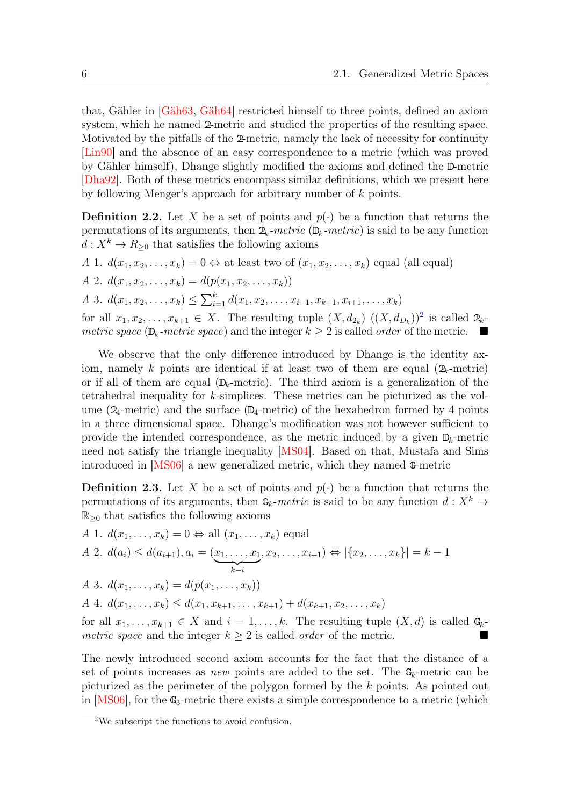that, Gähler in [\[Gäh63,](#page-40-6) [Gäh64\]](#page-40-7) restricted himself to three points, defined an axiom system, which he named 2-metric and studied the properties of the resulting space. Motivated by the pitfalls of the 2-metric, namely the lack of necessity for continuity [\[Lin90\]](#page-41-9) and the absence of an easy correspondence to a metric (which was proved by Gähler himself), Dhange slightly modified the axioms and defined the D-metric [\[Dha92\]](#page-39-8). Both of these metrics encompass similar definitions, which we present here by following Menger's approach for arbitrary number of k points.

**Definition 2.2.** Let X be a set of points and  $p(\cdot)$  be a function that returns the permutations of its arguments, then  $2_k$ -metric ( $\mathbb{D}_k$ -metric) is said to be any function  $d: X^k \to R_{\geq 0}$  that satisfies the following axioms

- A 1.  $d(x_1, x_2, \ldots, x_k) = 0 \Leftrightarrow$  at least two of  $(x_1, x_2, \ldots, x_k)$  equal (all equal)
- A 2.  $d(x_1, x_2, \ldots, x_k) = d(p(x_1, x_2, \ldots, x_k))$

A 3.  $d(x_1, x_2, \ldots, x_k) \leq \sum_{i=1}^k d(x_1, x_2, \ldots, x_{i-1}, x_{k+1}, x_{i+1}, \ldots, x_k)$ 

for all  $x_1, x_2, \ldots, x_{k+1} \in X$  $x_1, x_2, \ldots, x_{k+1} \in X$  $x_1, x_2, \ldots, x_{k+1} \in X$ . The resulting tuple  $(X, d_{2_k})$   $((X, d_{D_k}))^2$  is called  $2_k$ . metric space ( $\mathbb{D}_k$ -metric space) and the integer  $k \geq 2$  is called *order* of the metric.

We observe that the only difference introduced by Dhange is the identity axiom, namely k points are identical if at least two of them are equal  $(2_k$ -metric) or if all of them are equal  $(\mathbb{D}_k$ -metric). The third axiom is a generalization of the tetrahedral inequality for k-simplices. These metrics can be picturized as the volume ( $2_4$ -metric) and the surface ( $\mathbb{D}_4$ -metric) of the hexahedron formed by 4 points in a three dimensional space. Dhange's modification was not however sufficient to provide the intended correspondence, as the metric induced by a given  $\mathbb{D}_k$ -metric need not satisfy the triangle inequality [\[MS04\]](#page-41-10). Based on that, Mustafa and Sims introduced in [\[MS06\]](#page-41-11) a new generalized metric, which they named G-metric

**Definition 2.3.** Let X be a set of points and  $p(\cdot)$  be a function that returns the permutations of its arguments, then  $\mathbb{G}_k$ -metric is said to be any function  $d: X^k \to$  $\mathbb{R}_{\geq 0}$  that satisfies the following axioms

A 1. 
$$
d(x_1,...,x_k) = 0 \Leftrightarrow \text{all } (x_1,...,x_k)
$$
 equal

A 2. 
$$
d(a_i) \leq d(a_{i+1}), a_i = (\underbrace{x_1, \ldots, x_1}_{k-i}, x_2, \ldots, x_{i+1}) \Leftrightarrow |\{x_2, \ldots, x_k\}| = k - 1
$$

A 3. 
$$
d(x_1,...,x_k) = d(p(x_1,...,x_k))
$$

A 4.  $d(x_1, \ldots, x_k) \leq d(x_1, x_{k+1}, \ldots, x_{k+1}) + d(x_{k+1}, x_2, \ldots, x_k)$ 

for all  $x_1, \ldots, x_{k+1} \in X$  and  $i = 1, \ldots, k$ . The resulting tuple  $(X, d)$  is called  $\mathbb{G}_k$ metric space and the integer  $k \geq 2$  is called *order* of the metric.

The newly introduced second axiom accounts for the fact that the distance of a set of points increases as *new* points are added to the set. The  $\mathbb{G}_k$ -metric can be picturized as the perimeter of the polygon formed by the k points. As pointed out in  $[MS06]$ , for the  $\mathbb{G}_3$ -metric there exists a simple correspondence to a metric (which

<span id="page-13-0"></span><sup>2</sup>We subscript the functions to avoid confusion.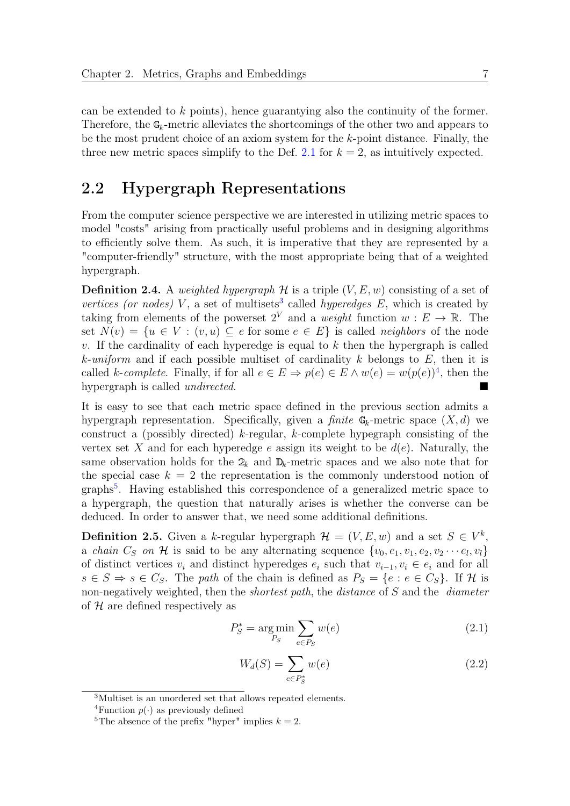can be extended to k points), hence guarantying also the continuity of the former. Therefore, the  $\mathbb{G}_k$ -metric alleviates the shortcomings of the other two and appears to be the most prudent choice of an axiom system for the k-point distance. Finally, the three new metric spaces simplify to the Def. [2.1](#page-12-3) for  $k = 2$ , as intuitively expected.

# <span id="page-14-0"></span>2.2 Hypergraph Representations

From the computer science perspective we are interested in utilizing metric spaces to model "costs" arising from practically useful problems and in designing algorithms to efficiently solve them. As such, it is imperative that they are represented by a "computer-friendly" structure, with the most appropriate being that of a weighted hypergraph.

**Definition 2.4.** A weighted hypergraph  $\mathcal{H}$  is a triple  $(V, E, w)$  consisting of a set of vertices (or nodes) V, a set of multisets<sup>[3](#page-14-1)</sup> called hyperedges  $E$ , which is created by taking from elements of the powerset  $2^V$  and a *weight* function  $w : E \to \mathbb{R}$ . The set  $N(v) = \{u \in V : (v, u) \subseteq e \text{ for some } e \in E\}$  is called neighbors of the node  $v$ . If the cardinality of each hyperedge is equal to  $k$  then the hypergraph is called k-uniform and if each possible multiset of cardinality k belongs to  $E$ , then it is called k-complete. Finally, if for all  $e \in E \Rightarrow p(e) \in E \wedge w(e) = w(p(e))^4$  $e \in E \Rightarrow p(e) \in E \wedge w(e) = w(p(e))^4$ , then the hypergraph is called *undirected*.

It is easy to see that each metric space defined in the previous section admits a hypergraph representation. Specifically, given a *finite*  $\mathbb{G}_k$ -metric space  $(X, d)$  we construct a (possibly directed) k-regular, k-complete hypegraph consisting of the vertex set X and for each hyperedge e assign its weight to be  $d(e)$ . Naturally, the same observation holds for the  $2_k$  and  $\mathbb{D}_k$ -metric spaces and we also note that for the special case  $k = 2$  the representation is the commonly understood notion of graphs<sup>[5](#page-14-3)</sup>. Having established this correspondence of a generalized metric space to a hypergraph, the question that naturally arises is whether the converse can be deduced. In order to answer that, we need some additional definitions.

**Definition 2.5.** Given a k-regular hypergraph  $\mathcal{H} = (V, E, w)$  and a set  $S \in V^k$ , a *chain*  $C_S$  on  $\mathcal H$  is said to be any alternating sequence  $\{v_0, e_1, v_1, e_2, v_2 \cdots e_l, v_l\}$ of distinct vertices  $v_i$  and distinct hyperedges  $e_i$  such that  $v_{i-1}, v_i \in e_i$  and for all  $s \in S \Rightarrow s \in C_S$ . The path of the chain is defined as  $P_S = \{e : e \in C_S\}$ . If H is non-negatively weighted, then the *shortest path*, the *distance* of S and the *diameter* of  $H$  are defined respectively as

$$
P_S^* = \underset{P_S}{\text{arg min}} \sum_{e \in P_S} w(e) \tag{2.1}
$$

<span id="page-14-4"></span>
$$
W_d(S) = \sum_{e \in P_S^*} w(e) \tag{2.2}
$$

<span id="page-14-1"></span><sup>3</sup>Multiset is an unordered set that allows repeated elements.

<span id="page-14-2"></span><sup>&</sup>lt;sup>4</sup>Function  $p(\cdot)$  as previously defined

<span id="page-14-3"></span><sup>&</sup>lt;sup>5</sup>The absence of the prefix "hyper" implies  $k = 2$ .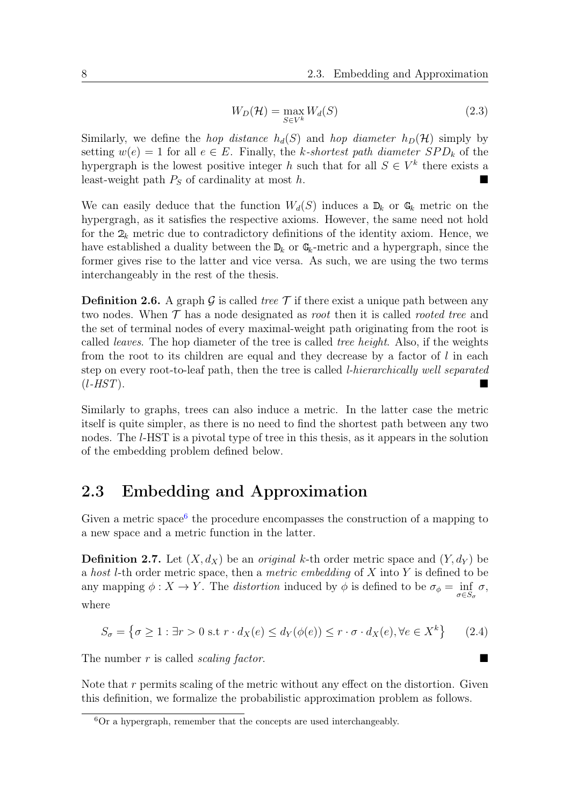$$
W_D(\mathcal{H}) = \max_{S \in V^k} W_d(S) \tag{2.3}
$$

Similarly, we define the *hop distance*  $h_d(S)$  and *hop diameter*  $h_D(\mathcal{H})$  simply by setting  $w(e) = 1$  for all  $e \in E$ . Finally, the k-shortest path diameter  $SPD_k$  of the hypergraph is the lowest positive integer h such that for all  $S \in V^k$  there exists a least-weight path  $P<sub>S</sub>$  of cardinality at most h.

We can easily deduce that the function  $W_d(S)$  induces a  $\mathbb{D}_k$  or  $\mathbb{G}_k$  metric on the hypergragh, as it satisfies the respective axioms. However, the same need not hold for the  $2_k$  metric due to contradictory definitions of the identity axiom. Hence, we have established a duality between the  $\mathbb{D}_k$  or  $\mathbb{G}_k$ -metric and a hypergraph, since the former gives rise to the latter and vice versa. As such, we are using the two terms interchangeably in the rest of the thesis.

<span id="page-15-2"></span>**Definition 2.6.** A graph G is called *tree*  $\mathcal{T}$  if there exist a unique path between any two nodes. When  $\mathcal T$  has a node designated as *root* then it is called *rooted tree* and the set of terminal nodes of every maximal-weight path originating from the root is called *leaves*. The hop diameter of the tree is called *tree height*. Also, if the weights from the root to its children are equal and they decrease by a factor of l in each step on every root-to-leaf path, then the tree is called l-hierarchically well separated  $(l-HST)$ .

Similarly to graphs, trees can also induce a metric. In the latter case the metric itself is quite simpler, as there is no need to find the shortest path between any two nodes. The *l*-HST is a pivotal type of tree in this thesis, as it appears in the solution of the embedding problem defined below.

# <span id="page-15-0"></span>2.3 Embedding and Approximation

Given a metric space<sup>[6](#page-15-1)</sup> the procedure encompasses the construction of a mapping to a new space and a metric function in the latter.

**Definition 2.7.** Let  $(X, d_X)$  be an *original* k-th order metric space and  $(Y, d_Y)$  be a host l-th order metric space, then a metric embedding of  $X$  into  $Y$  is defined to be any mapping  $\phi: X \to Y$ . The *distortion* induced by  $\phi$  is defined to be  $\sigma_{\phi} = \inf_{\sigma \in S_{\sigma}} \sigma$ , where

$$
S_{\sigma} = \{ \sigma \ge 1 : \exists r > 0 \text{ s.t } r \cdot d_X(e) \le d_Y(\phi(e)) \le r \cdot \sigma \cdot d_X(e), \forall e \in X^k \} \tag{2.4}
$$

The number  $r$  is called *scaling factor*.

Note that  $r$  permits scaling of the metric without any effect on the distortion. Given this definition, we formalize the probabilistic approximation problem as follows.

<span id="page-15-1"></span> ${}^{6}$ Or a hypergraph, remember that the concepts are used interchangeably.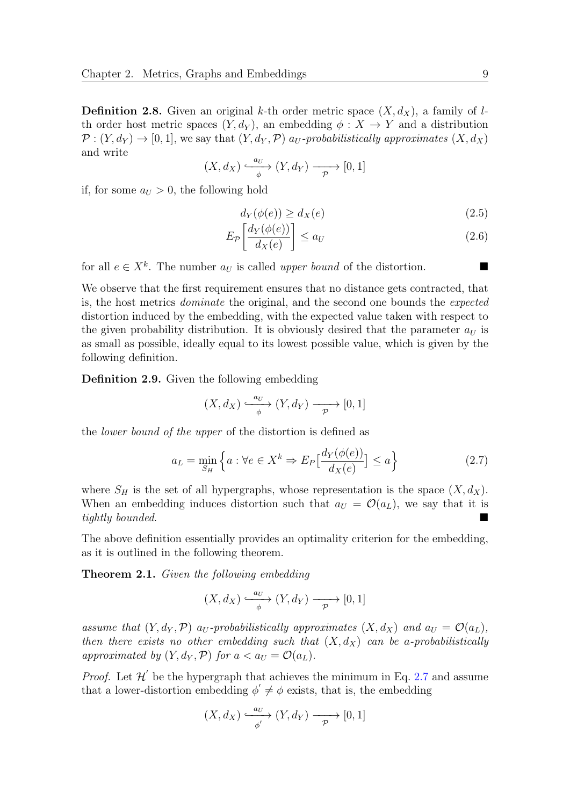**Definition 2.8.** Given an original k-th order metric space  $(X, d_X)$ , a family of lth order host metric spaces  $(Y, d_Y)$ , an embedding  $\phi: X \to Y$  and a distribution  $\mathcal{P}: (Y, d_Y) \to [0, 1]$ , we say that  $(Y, d_Y, \mathcal{P})$  a<sub>U</sub>-probabilistically approximates  $(X, d_X)$ and write

$$
(X, d_X) \xrightarrow{\phantom{a_U} a_U} (Y, d_Y) \xrightarrow{\phantom{a_U} a_U} [0, 1]
$$

if, for some  $a_U > 0$ , the following hold

$$
d_Y(\phi(e)) \ge d_X(e) \tag{2.5}
$$

$$
E_{\mathcal{P}}\left[\frac{d_Y(\phi(e))}{d_X(e)}\right] \le a_U \tag{2.6}
$$

for all  $e \in X^k$ . The number  $a_U$  is called upper bound of the distortion.

We observe that the first requirement ensures that no distance gets contracted, that is, the host metrics dominate the original, and the second one bounds the expected distortion induced by the embedding, with the expected value taken with respect to the given probability distribution. It is obviously desired that the parameter  $a_{U}$  is as small as possible, ideally equal to its lowest possible value, which is given by the following definition.

<span id="page-16-0"></span>Definition 2.9. Given the following embedding

$$
(X, d_X) \xrightarrow{\phantom{a_U} a_U} (Y, d_Y) \xrightarrow{\phantom{a_U} a_U} [0, 1]
$$

the lower bound of the upper of the distortion is defined as

<span id="page-16-1"></span>
$$
a_L = \min_{S_H} \left\{ a : \forall e \in X^k \Rightarrow E_P \left[ \frac{d_Y(\phi(e))}{d_X(e)} \right] \le a \right\}
$$
 (2.7)

where  $S_H$  is the set of all hypergraphs, whose representation is the space  $(X, d_X)$ . When an embedding induces distortion such that  $a_U = \mathcal{O}(a_L)$ , we say that it is tightly bounded.

The above definition essentially provides an optimality criterion for the embedding, as it is outlined in the following theorem.

<span id="page-16-2"></span>Theorem 2.1. Given the following embedding

$$
(X, d_X) \xrightarrow{\phantom{a_U} a_U} (Y, d_Y) \xrightarrow{\phantom{a_U} a_U} [0, 1]
$$

assume that  $(Y, d_Y, \mathcal{P})$  a<sub>U</sub>-probabilistically approximates  $(X, d_X)$  and  $a_U = \mathcal{O}(a_L)$ , then there exists no other embedding such that  $(X, d_X)$  can be a-probabilistically approximated by  $(Y, d_Y, \mathcal{P})$  for  $a < a_U = \mathcal{O}(a_L)$ .

*Proof.* Let  $\mathcal{H}'$  be the hypergraph that achieves the minimum in Eq. [2.7](#page-16-1) and assume that a lower-distortion embedding  $\phi' \neq \phi$  exists, that is, the embedding

$$
(X, d_X) \xrightarrow[\phi]{a_U} (Y, d_Y) \xrightarrow[\mathcal{P}]{} [0, 1]
$$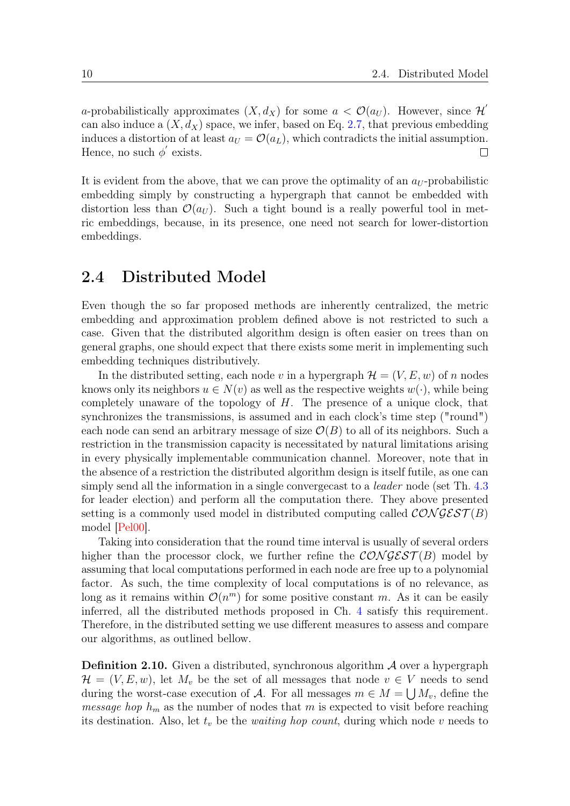a-probabilistically approximates  $(X, d_X)$  for some  $a < \mathcal{O}(a_U)$ . However, since  $\mathcal{H}'$ can also induce a  $(X, d_X)$  space, we infer, based on Eq. [2.7,](#page-16-1) that previous embedding induces a distortion of at least  $a_U = \mathcal{O}(a_L)$ , which contradicts the initial assumption. Hence, no such  $\phi'$  exists.  $\Box$ 

It is evident from the above, that we can prove the optimality of an  $a_U$ -probabilistic embedding simply by constructing a hypergraph that cannot be embedded with distortion less than  $\mathcal{O}(a_U)$ . Such a tight bound is a really powerful tool in metric embeddings, because, in its presence, one need not search for lower-distortion embeddings.

### <span id="page-17-0"></span>2.4 Distributed Model

Even though the so far proposed methods are inherently centralized, the metric embedding and approximation problem defined above is not restricted to such a case. Given that the distributed algorithm design is often easier on trees than on general graphs, one should expect that there exists some merit in implementing such embedding techniques distributively.

In the distributed setting, each node v in a hypergraph  $\mathcal{H} = (V, E, w)$  of n nodes knows only its neighbors  $u \in N(v)$  as well as the respective weights  $w(\cdot)$ , while being completely unaware of the topology of  $H$ . The presence of a unique clock, that synchronizes the transmissions, is assumed and in each clock's time step ("round") each node can send an arbitrary message of size  $\mathcal{O}(B)$  to all of its neighbors. Such a restriction in the transmission capacity is necessitated by natural limitations arising in every physically implementable communication channel. Moreover, note that in the absence of a restriction the distributed algorithm design is itself futile, as one can simply send all the information in a single converge cast to a *leader* node (set Th. [4.3](#page-32-1)) for leader election) and perform all the computation there. They above presented setting is a commonly used model in distributed computing called  $\mathcal{CONGEST}(B)$ model [\[Pel00\]](#page-41-12).

Taking into consideration that the round time interval is usually of several orders higher than the processor clock, we further refine the  $\mathcal{CONGEST}(B)$  model by assuming that local computations performed in each node are free up to a polynomial factor. As such, the time complexity of local computations is of no relevance, as long as it remains within  $\mathcal{O}(n^m)$  for some positive constant m. As it can be easily inferred, all the distributed methods proposed in Ch. [4](#page-29-0) satisfy this requirement. Therefore, in the distributed setting we use different measures to assess and compare our algorithms, as outlined bellow.

**Definition 2.10.** Given a distributed, synchronous algorithm  $\mathcal A$  over a hypergraph  $\mathcal{H} = (V, E, w)$ , let  $M_v$  be the set of all messages that node  $v \in V$  needs to send during the worst-case execution of A. For all messages  $m \in M = \bigcup M_v$ , define the *message hop*  $h_m$  as the number of nodes that m is expected to visit before reaching its destination. Also, let  $t_v$  be the *waiting hop count*, during which node v needs to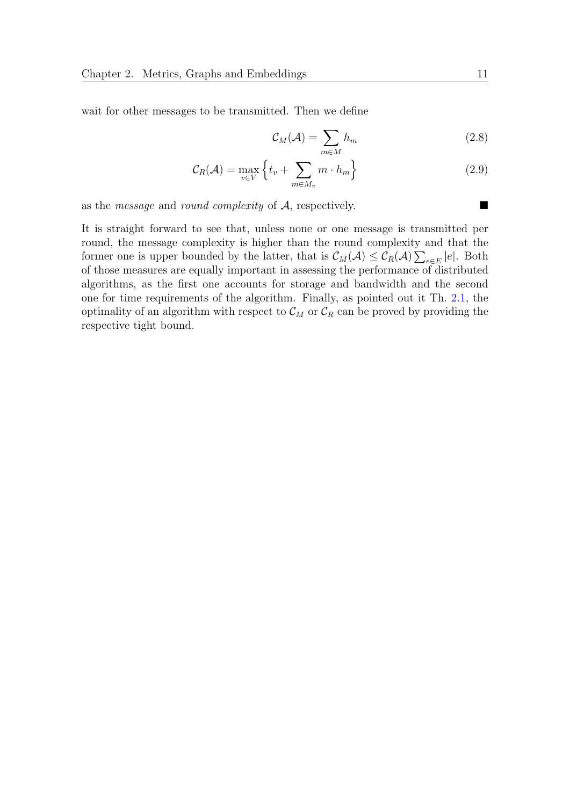wait for other messages to be transmitted. Then we define

$$
\mathcal{C}_M(\mathcal{A}) = \sum_{m \in M} h_m \tag{2.8}
$$

$$
\mathcal{C}_R(\mathcal{A}) = \max_{v \in V} \left\{ t_v + \sum_{m \in M_v} m \cdot h_m \right\} \tag{2.9}
$$

as the *message* and *round complexity* of  $A$ , respectively.

It is straight forward to see that, unless none or one message is transmitted per round, the message complexity is higher than the round complexity and that the former one is upper bounded by the latter, that is  $\mathcal{C}_M(\mathcal{A}) \leq \mathcal{C}_R(\mathcal{A}) \sum_{e \in E} |e|$ . Both of those measures are equally important in assessing the performance of distributed algorithms, as the first one accounts for storage and bandwidth and the second one for time requirements of the algorithm. Finally, as pointed out it Th. [2.1,](#page-16-2) the optimality of an algorithm with respect to  $\mathcal{C}_M$  or  $\mathcal{C}_R$  can be proved by providing the respective tight bound.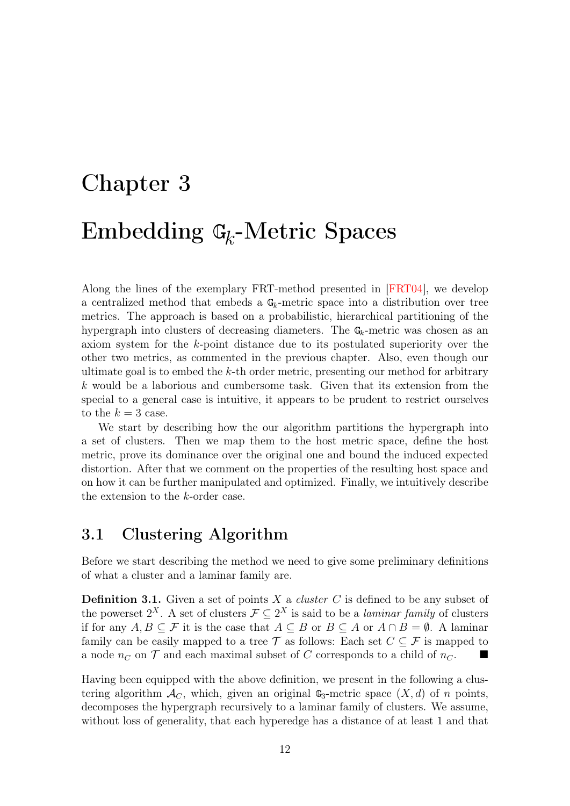# <span id="page-19-0"></span>Chapter 3 Embedding  $\mathbb{G}_k$ -Metric Spaces

Along the lines of the exemplary FRT-method presented in [\[FRT04\]](#page-40-2), we develop a centralized method that embeds a  $\mathbb{G}_k$ -metric space into a distribution over tree metrics. The approach is based on a probabilistic, hierarchical partitioning of the hypergraph into clusters of decreasing diameters. The  $\mathbb{G}_k$ -metric was chosen as an axiom system for the k-point distance due to its postulated superiority over the other two metrics, as commented in the previous chapter. Also, even though our ultimate goal is to embed the k-th order metric, presenting our method for arbitrary k would be a laborious and cumbersome task. Given that its extension from the special to a general case is intuitive, it appears to be prudent to restrict ourselves to the  $k = 3$  case.

We start by describing how the our algorithm partitions the hypergraph into a set of clusters. Then we map them to the host metric space, define the host metric, prove its dominance over the original one and bound the induced expected distortion. After that we comment on the properties of the resulting host space and on how it can be further manipulated and optimized. Finally, we intuitively describe the extension to the k-order case.

# <span id="page-19-1"></span>3.1 Clustering Algorithm

Before we start describing the method we need to give some preliminary definitions of what a cluster and a laminar family are.

<span id="page-19-2"></span>**Definition 3.1.** Given a set of points  $X$  a *cluster C* is defined to be any subset of the powerset  $2^X$ . A set of clusters  $\mathcal{F} \subseteq 2^X$  is said to be a *laminar family* of clusters if for any  $A, B \subseteq \mathcal{F}$  it is the case that  $A \subseteq B$  or  $B \subseteq A$  or  $A \cap B = \emptyset$ . A laminar family can be easily mapped to a tree T as follows: Each set  $C \subseteq \mathcal{F}$  is mapped to a node  $n_C$  on T and each maximal subset of C corresponds to a child of  $n_C$ .

Having been equipped with the above definition, we present in the following a clustering algorithm  $\mathcal{A}_{C}$ , which, given an original  $\mathbb{G}_{3}$ -metric space  $(X, d)$  of n points, decomposes the hypergraph recursively to a laminar family of clusters. We assume, without loss of generality, that each hyperedge has a distance of at least 1 and that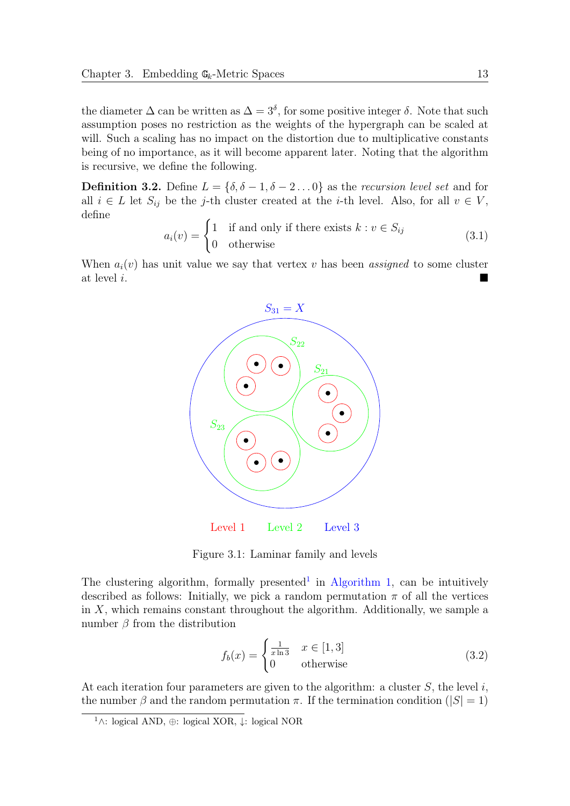the diameter  $\Delta$  can be written as  $\Delta = 3^{\delta}$ , for some positive integer  $\delta$ . Note that such assumption poses no restriction as the weights of the hypergraph can be scaled at will. Such a scaling has no impact on the distortion due to multiplicative constants being of no importance, as it will become apparent later. Noting that the algorithm is recursive, we define the following.

**Definition 3.2.** Define  $L = \{\delta, \delta - 1, \delta - 2, \ldots 0\}$  as the recursion level set and for all  $i \in L$  let  $S_{ij}$  be the j-th cluster created at the *i*-th level. Also, for all  $v \in V$ , define

$$
a_i(v) = \begin{cases} 1 & \text{if and only if there exists } k : v \in S_{ij} \\ 0 & \text{otherwise} \end{cases}
$$
 (3.1)

When  $a_i(v)$  has unit value we say that vertex v has been assigned to some cluster at level i.



Figure 3.1: Laminar family and levels

The clustering algorithm, formally presented<sup>[1](#page-20-0)</sup> in [Algorithm 1,](#page-21-0) can be intuitively described as follows: Initially, we pick a random permutation  $\pi$  of all the vertices in  $X$ , which remains constant throughout the algorithm. Additionally, we sample a number  $\beta$  from the distribution

<span id="page-20-1"></span>
$$
f_b(x) = \begin{cases} \frac{1}{x \ln 3} & x \in [1, 3] \\ 0 & \text{otherwise} \end{cases} \tag{3.2}
$$

At each iteration four parameters are given to the algorithm: a cluster  $S$ , the level i, the number  $\beta$  and the random permutation  $\pi$ . If the termination condition ( $|S| = 1$ )

<span id="page-20-0"></span><sup>1</sup>∧: logical AND, ⊕: logical XOR, ↓: logical NOR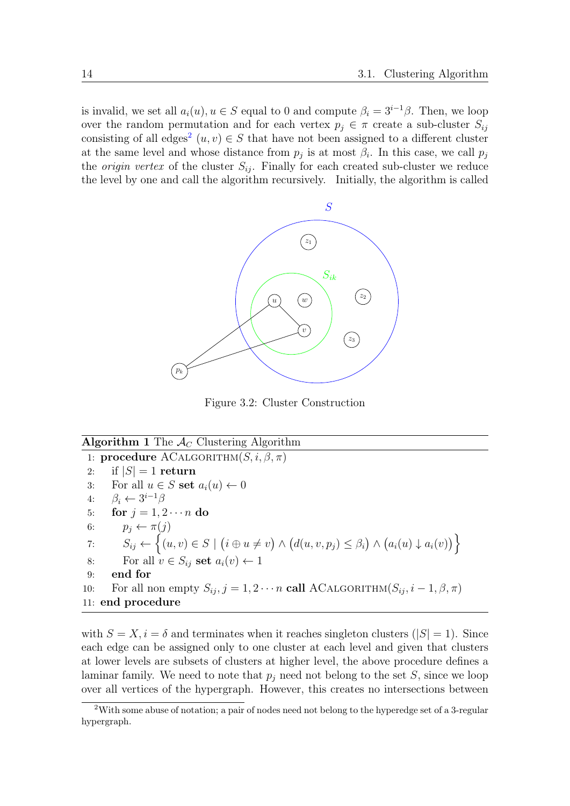is invalid, we set all  $a_i(u)$ ,  $u \in S$  equal to 0 and compute  $\beta_i = 3^{i-1}\beta$ . Then, we loop over the random permutation and for each vertex  $p_i \in \pi$  create a sub-cluster  $S_{ij}$ consisting of all edges<sup>[2](#page-21-1)</sup>  $(u, v) \in S$  that have not been assigned to a different cluster at the same level and whose distance from  $p_j$  is at most  $\beta_i$ . In this case, we call  $p_j$ the *origin vertex* of the cluster  $S_{ij}$ . Finally for each created sub-cluster we reduce the level by one and call the algorithm recursively. Initially, the algorithm is called

<span id="page-21-0"></span>

Figure 3.2: Cluster Construction

#### Algorithm 1 The  $\overline{\mathcal{A}_C}$  Clustering Algorithm

1: **procedure** ACALGORITHM $(S, i, \beta, \pi)$ 2: if  $|S| = 1$  return 3: For all  $u \in S$  set  $a_i(u) \leftarrow 0$ 4:  $\beta_i \leftarrow 3^{i-1}\beta$ 5: for  $j = 1, 2 \cdots n$  do 6:  $p_j \leftarrow \pi(j)$ 7:  $S_{ij} \leftarrow \{(u, v) \in S \mid (i \oplus u \neq v) \land (d(u, v, p_j) \leq \beta_i) \land (a_i(u) \downarrow a_i(v))\}$ 8: For all  $v \in S_{ij}$  set  $a_i(v) \leftarrow 1$ 9: end for 10: For all non empty  $S_{ij}$ ,  $j = 1, 2 \cdots n$  call ACALGORITHM $(S_{ij}, i-1, \beta, \pi)$ 11: end procedure

with  $S = X, i = \delta$  and terminates when it reaches singleton clusters ( $|S| = 1$ ). Since each edge can be assigned only to one cluster at each level and given that clusters at lower levels are subsets of clusters at higher level, the above procedure defines a laminar family. We need to note that  $p_i$  need not belong to the set S, since we loop over all vertices of the hypergraph. However, this creates no intersections between

<span id="page-21-1"></span><sup>&</sup>lt;sup>2</sup>With some abuse of notation; a pair of nodes need not belong to the hyperedge set of a 3-regular hypergraph.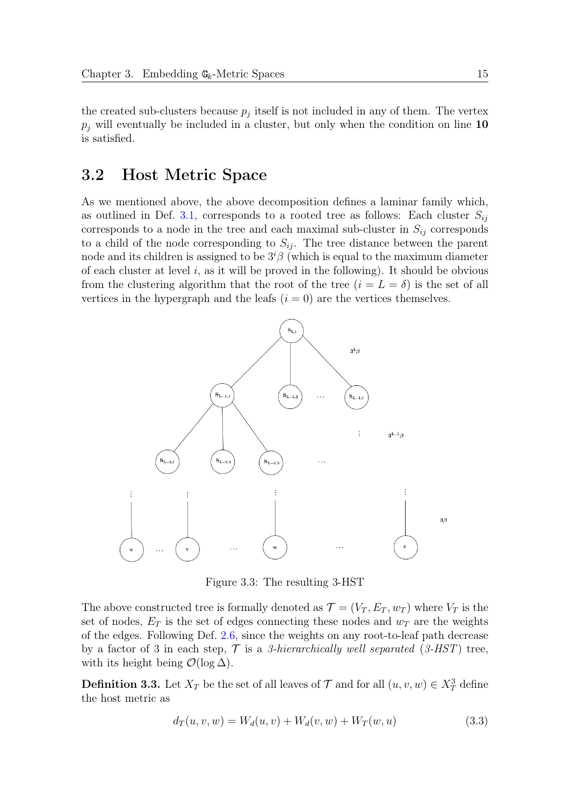the created sub-clusters because  $p_j$  itself is not included in any of them. The vertex  $p_i$  will eventually be included in a cluster, but only when the condition on line 10 is satisfied.

# <span id="page-22-0"></span>3.2 Host Metric Space

As we mentioned above, the above decomposition defines a laminar family which, as outlined in Def. [3.1,](#page-19-2) corresponds to a rooted tree as follows: Each cluster  $S_{ij}$ corresponds to a node in the tree and each maximal sub-cluster in  $S_{ij}$  corresponds to a child of the node corresponding to  $S_{ij}$ . The tree distance between the parent node and its children is assigned to be  $3^{i}\beta$  (which is equal to the maximum diameter of each cluster at level i, as it will be proved in the following). It should be obvious from the clustering algorithm that the root of the tree  $(i = L = \delta)$  is the set of all vertices in the hypergraph and the leafs  $(i = 0)$  are the vertices themselves.



Figure 3.3: The resulting 3-HST

The above constructed tree is formally denoted as  $\mathcal{T} = (V_T, E_T, w_T)$  where  $V_T$  is the set of nodes,  $E_T$  is the set of edges connecting these nodes and  $w_T$  are the weights of the edges. Following Def. [2.6,](#page-15-2) since the weights on any root-to-leaf path decrease by a factor of 3 in each step,  $\mathcal T$  is a 3-hierarchically well separated (3-HST) tree, with its height being  $\mathcal{O}(\log \Delta)$ .

**Definition 3.3.** Let  $X_T$  be the set of all leaves of  $\mathcal T$  and for all  $(u, v, w) \in X_T^3$  define the host metric as

$$
d_T(u, v, w) = W_d(u, v) + W_d(v, w) + W_T(w, u)
$$
\n(3.3)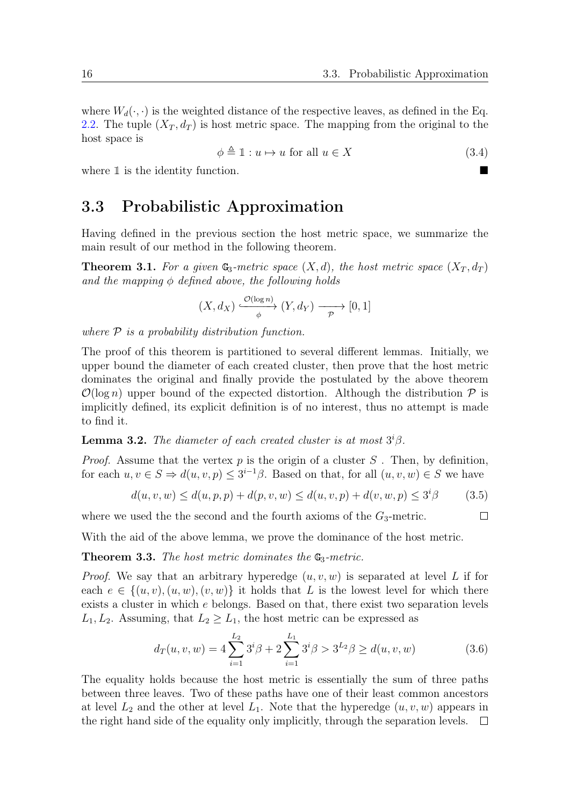$\Box$ 

where  $W_d(\cdot, \cdot)$  is the weighted distance of the respective leaves, as defined in the Eq. [2.2.](#page-14-4) The tuple  $(X_T, d_T)$  is host metric space. The mapping from the original to the host space is

$$
\phi \triangleq 1: u \mapsto u \text{ for all } u \in X \tag{3.4}
$$

where 1 is the identity function.

# <span id="page-23-0"></span>3.3 Probabilistic Approximation

Having defined in the previous section the host metric space, we summarize the main result of our method in the following theorem.

<span id="page-23-3"></span>**Theorem 3.1.** For a given  $\mathbb{G}_3$ -metric space  $(X, d)$ , the host metric space  $(X_T, d_T)$ and the mapping  $\phi$  defined above, the following holds

$$
(X, d_X) \xrightarrow{\mathcal{O}(\log n)} (Y, d_Y) \longrightarrow [0, 1]
$$

where  $P$  is a probability distribution function.

The proof of this theorem is partitioned to several different lemmas. Initially, we upper bound the diameter of each created cluster, then prove that the host metric dominates the original and finally provide the postulated by the above theorem  $\mathcal{O}(\log n)$  upper bound of the expected distortion. Although the distribution  $\mathcal P$  is implicitly defined, its explicit definition is of no interest, thus no attempt is made to find it.

<span id="page-23-4"></span>**Lemma 3.2.** The diameter of each created cluster is at most  $3^{i}\beta$ .

*Proof.* Assume that the vertex  $p$  is the origin of a cluster  $S$ . Then, by definition, for each  $u, v \in S \Rightarrow d(u, v, p) \leq 3^{i-1}\beta$ . Based on that, for all  $(u, v, w) \in S$  we have

$$
d(u, v, w) \le d(u, p, p) + d(p, v, w) \le d(u, v, p) + d(v, w, p) \le 3^{i}\beta
$$
 (3.5)

where we used the the second and the fourth axioms of the  $G_3$ -metric.

With the aid of the above lemma, we prove the dominance of the host metric.

<span id="page-23-2"></span>**Theorem 3.3.** The host metric dominates the  $\mathbb{G}_3$ -metric.

*Proof.* We say that an arbitrary hyperedge  $(u, v, w)$  is separated at level L if for each  $e \in \{(u, v), (u, w), (v, w)\}\$ it holds that L is the lowest level for which there exists a cluster in which e belongs. Based on that, there exist two separation levels  $L_1, L_2$ . Assuming, that  $L_2 \geq L_1$ , the host metric can be expressed as

<span id="page-23-1"></span>
$$
d_T(u, v, w) = 4 \sum_{i=1}^{L_2} 3^i \beta + 2 \sum_{i=1}^{L_1} 3^i \beta > 3^{L_2} \beta \ge d(u, v, w)
$$
 (3.6)

The equality holds because the host metric is essentially the sum of three paths between three leaves. Two of these paths have one of their least common ancestors at level  $L_2$  and the other at level  $L_1$ . Note that the hyperedge  $(u, v, w)$  appears in the right hand side of the equality only implicitly, through the separation levels.  $\Box$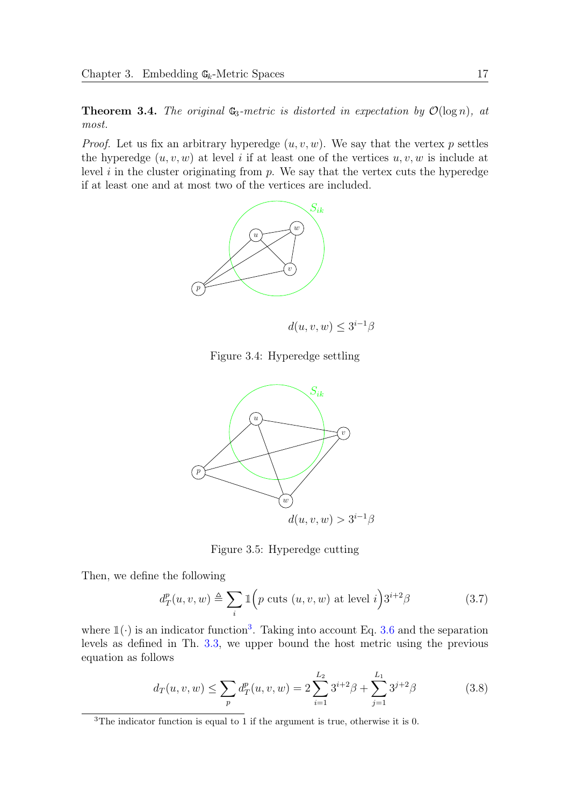<span id="page-24-2"></span>**Theorem 3.4.** The original  $\mathbb{G}_3$ -metric is distorted in expectation by  $\mathcal{O}(\log n)$ , at most.

*Proof.* Let us fix an arbitrary hyperedge  $(u, v, w)$ . We say that the vertex p settles the hyperedge  $(u, v, w)$  at level i if at least one of the vertices  $u, v, w$  is include at level  $i$  in the cluster originating from  $p$ . We say that the vertex cuts the hyperedge if at least one and at most two of the vertices are included.



 $d(u, v, w) \leq 3^{i-1}\beta$ 

Figure 3.4: Hyperedge settling



Figure 3.5: Hyperedge cutting

Then, we define the following

$$
d_T^p(u, v, w) \triangleq \sum_i \mathbb{1}\Big(p \text{ cuts } (u, v, w) \text{ at level } i\Big) 3^{i+2}\beta\tag{3.7}
$$

where  $\mathbb{1}(\cdot)$  is an indicator function<sup>[3](#page-24-0)</sup>. Taking into account Eq. [3.6](#page-23-1) and the separation levels as defined in Th. [3.3,](#page-23-2) we upper bound the host metric using the previous equation as follows

<span id="page-24-1"></span>
$$
d_T(u, v, w) \le \sum_p d_T^p(u, v, w) = 2 \sum_{i=1}^{L_2} 3^{i+2} \beta + \sum_{j=1}^{L_1} 3^{j+2} \beta \tag{3.8}
$$

<span id="page-24-0"></span><sup>3</sup>The indicator function is equal to 1 if the argument is true, otherwise it is 0.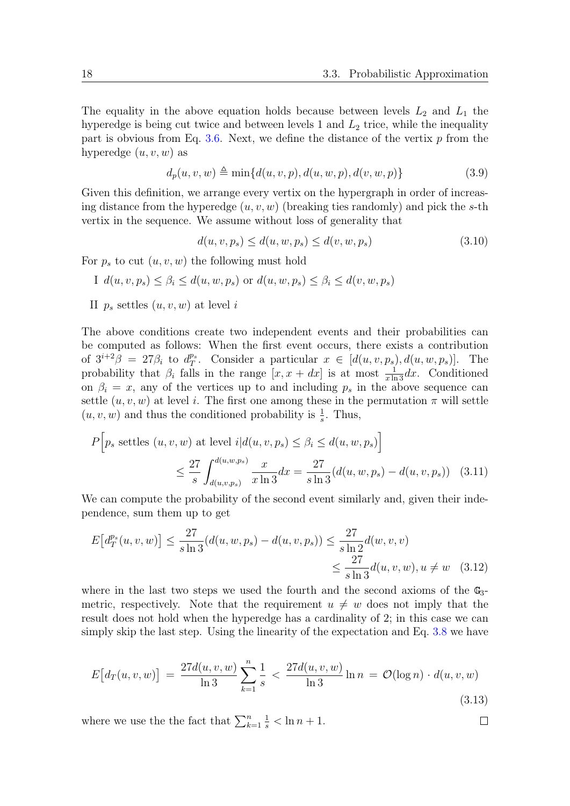The equality in the above equation holds because between levels  $L_2$  and  $L_1$  the hyperedge is being cut twice and between levels 1 and  $L_2$  trice, while the inequality part is obvious from Eq. [3.6.](#page-23-1) Next, we define the distance of the vertix  $p$  from the hyperedge  $(u, v, w)$  as

$$
d_p(u, v, w) \triangleq \min\{d(u, v, p), d(u, w, p), d(v, w, p)\}\tag{3.9}
$$

Given this definition, we arrange every vertix on the hypergraph in order of increasing distance from the hyperedge  $(u, v, w)$  (breaking ties randomly) and pick the s-th vertix in the sequence. We assume without loss of generality that

$$
d(u, v, p_s) \le d(u, w, p_s) \le d(v, w, p_s)
$$
\n(3.10)

For  $p_s$  to cut  $(u, v, w)$  the following must hold

I 
$$
d(u, v, p_s) \leq \beta_i \leq d(u, w, p_s)
$$
 or  $d(u, w, p_s) \leq \beta_i \leq d(v, w, p_s)$ 

II  $p_s$  settles  $(u, v, w)$  at level i

The above conditions create two independent events and their probabilities can be computed as follows: When the first event occurs, there exists a contribution of  $3^{i+2}\beta = 27\beta_i$  to  $d_T^{p_s}$  $T^s$ . Consider a particular  $x \in [d(u, v, p_s), d(u, w, p_s)]$ . The probability that  $\beta_i$  falls in the range  $[x, x + dx]$  is at most  $\frac{1}{x \ln 3} dx$ . Conditioned on  $\beta_i = x$ , any of the vertices up to and including  $p_s$  in the above sequence can settle  $(u, v, w)$  at level i. The first one among these in the permutation  $\pi$  will settle  $(u, v, w)$  and thus the conditioned probability is  $\frac{1}{s}$ . Thus,

$$
P\Big[p_s \text{ settles } (u, v, w) \text{ at level } i | d(u, v, p_s) \le \beta_i \le d(u, w, p_s) \Big]
$$
  

$$
\le \frac{27}{s} \int_{d(u, v, p_s)}^{d(u, w, p_s)} \frac{x}{x \ln 3} dx = \frac{27}{s \ln 3} (d(u, w, p_s) - d(u, v, p_s)) \quad (3.11)
$$

We can compute the probability of the second event similarly and, given their independence, sum them up to get

$$
E\left[d_T^{p_s}(u,v,w)\right] \le \frac{27}{s \ln 3} (d(u,w,p_s) - d(u,v,p_s)) \le \frac{27}{s \ln 2} d(w,v,v)
$$
  

$$
\le \frac{27}{s \ln 3} d(u,v,w), u \ne w \quad (3.12)
$$

where in the last two steps we used the fourth and the second axioms of the  $\mathbb{G}_3$ metric, respectively. Note that the requirement  $u \neq w$  does not imply that the result does not hold when the hyperedge has a cardinality of 2; in this case we can simply skip the last step. Using the linearity of the expectation and Eq. [3.8](#page-24-1) we have

$$
E\big[d_T(u,v,w)\big] = \frac{27d(u,v,w)}{\ln 3} \sum_{k=1}^n \frac{1}{s} < \frac{27d(u,v,w)}{\ln 3} \ln n = \mathcal{O}(\log n) \cdot d(u,v,w) \tag{3.13}
$$

 $\Box$ 

where we use the the fact that  $\sum_{k=1}^{n}$  $\frac{1}{s} < \ln n + 1.$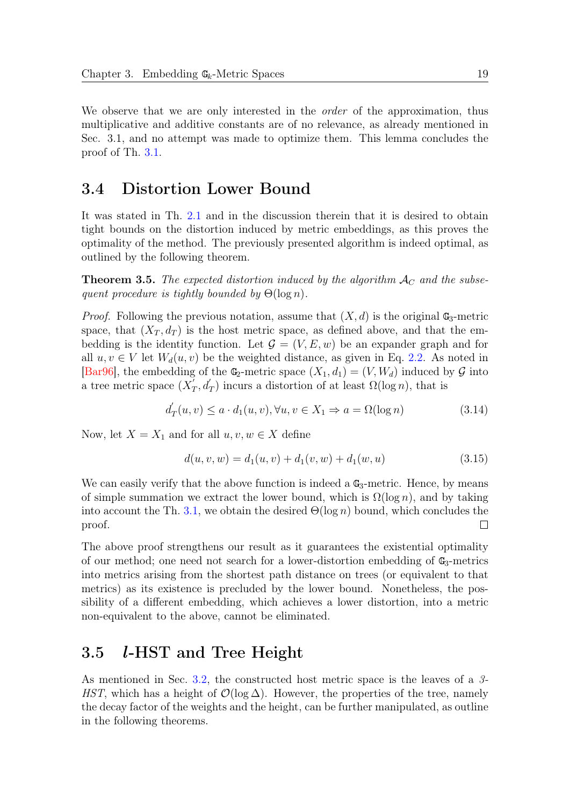We observe that we are only interested in the *order* of the approximation, thus multiplicative and additive constants are of no relevance, as already mentioned in Sec. 3.1, and no attempt was made to optimize them. This lemma concludes the proof of Th. [3.1.](#page-23-3)

# <span id="page-26-0"></span>3.4 Distortion Lower Bound

It was stated in Th. [2.1](#page-16-2) and in the discussion therein that it is desired to obtain tight bounds on the distortion induced by metric embeddings, as this proves the optimality of the method. The previously presented algorithm is indeed optimal, as outlined by the following theorem.

<span id="page-26-2"></span>**Theorem 3.5.** The expected distortion induced by the algorithm  $A_C$  and the subsequent procedure is tightly bounded by  $\Theta(\log n)$ .

*Proof.* Following the previous notation, assume that  $(X, d)$  is the original  $\mathbb{G}_3$ -metric space, that  $(X_T, d_T)$  is the host metric space, as defined above, and that the embedding is the identity function. Let  $\mathcal{G} = (V, E, w)$  be an expander graph and for all  $u, v \in V$  let  $W_d(u, v)$  be the weighted distance, as given in Eq. [2.2.](#page-14-4) As noted in [\[Bar96\]](#page-38-5), the embedding of the  $\mathbb{G}_2$ -metric space  $(X_1, d_1) = (V, W_d)$  induced by  $\mathcal G$  into a tree metric space  $(X_7)$  $T_T$ ,  $d'_T$ ) incurs a distortion of at least  $\Omega(\log n)$ , that is

$$
d'_{T}(u,v) \le a \cdot d_{1}(u,v), \forall u, v \in X_{1} \Rightarrow a = \Omega(\log n)
$$
\n(3.14)

Now, let  $X = X_1$  and for all  $u, v, w \in X$  define

$$
d(u, v, w) = d_1(u, v) + d_1(v, w) + d_1(w, u)
$$
\n(3.15)

We can easily verify that the above function is indeed a  $\mathbb{G}_3$ -metric. Hence, by means of simple summation we extract the lower bound, which is  $\Omega(\log n)$ , and by taking into account the Th. [3.1,](#page-23-3) we obtain the desired  $\Theta(\log n)$  bound, which concludes the proof.  $\Box$ 

The above proof strengthens our result as it guarantees the existential optimality of our method; one need not search for a lower-distortion embedding of  $\mathbb{G}_3$ -metrics into metrics arising from the shortest path distance on trees (or equivalent to that metrics) as its existence is precluded by the lower bound. Nonetheless, the possibility of a different embedding, which achieves a lower distortion, into a metric non-equivalent to the above, cannot be eliminated.

## <span id="page-26-1"></span>3.5 l-HST and Tree Height

As mentioned in Sec. [3.2,](#page-22-0) the constructed host metric space is the leaves of a 3- HST, which has a height of  $\mathcal{O}(\log \Delta)$ . However, the properties of the tree, namely the decay factor of the weights and the height, can be further manipulated, as outline in the following theorems.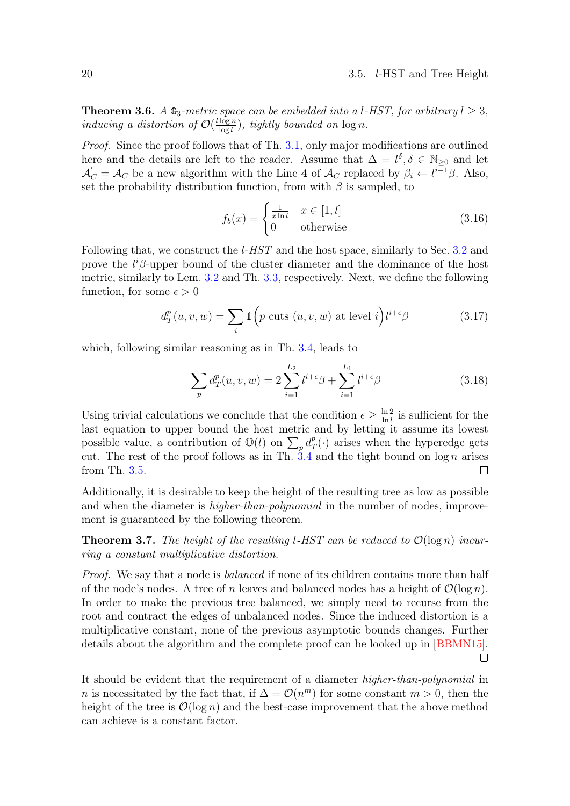<span id="page-27-0"></span>**Theorem 3.6.** A  $\mathbb{G}_3$ -metric space can be embedded into a l-HST, for arbitrary  $l \geq 3$ , inducing a distortion of  $\mathcal{O}(\frac{l \log n}{\log l})$  $\frac{\log n}{\log l}$ , tightly bounded on  $\log n$ .

Proof. Since the proof follows that of Th. [3.1,](#page-23-3) only major modifications are outlined here and the details are left to the reader. Assume that  $\Delta = l^{\delta}, \delta \in \mathbb{N}_{\geq 0}$  and let  $\mathcal{A}'_C = \mathcal{A}_C$  be a new algorithm with the Line 4 of  $\mathcal{A}_C$  replaced by  $\beta_i \leftarrow l^{i-1}\beta$ . Also, set the probability distribution function, from with  $\beta$  is sampled, to

$$
f_b(x) = \begin{cases} \frac{1}{x \ln l} & x \in [1, l] \\ 0 & \text{otherwise} \end{cases} \tag{3.16}
$$

Following that, we construct the *l-HST* and the host space, similarly to Sec. [3.2](#page-22-0) and prove the  $l^i\beta$ -upper bound of the cluster diameter and the dominance of the host metric, similarly to Lem. [3.2](#page-23-4) and Th. [3.3,](#page-23-2) respectively. Next, we define the following function, for some  $\epsilon > 0$ 

<span id="page-27-1"></span>
$$
d_T^p(u, v, w) = \sum_i \mathbb{1}\Big(p \text{ cuts } (u, v, w) \text{ at level } i\Big) l^{i+\epsilon} \beta \tag{3.17}
$$

which, following similar reasoning as in Th. [3.4,](#page-24-2) leads to

$$
\sum_{p} d_{T}^{p}(u, v, w) = 2 \sum_{i=1}^{L_2} l^{i+\epsilon} \beta + \sum_{i=1}^{L_1} l^{i+\epsilon} \beta
$$
\n(3.18)

Using trivial calculations we conclude that the condition  $\epsilon \geq \frac{\ln 2}{\ln l}$  $\frac{\ln 2}{\ln l}$  is sufficient for the last equation to upper bound the host metric and by letting it assume its lowest possible value, a contribution of  $\mathbb{O}(l)$  on  $\sum_p d_p^p$  $T(T(\cdot))$  arises when the hyperedge gets cut. The rest of the proof follows as in Th.  $3.4$  and the tight bound on log n arises from Th. [3.5.](#page-26-2)  $\Box$ 

Additionally, it is desirable to keep the height of the resulting tree as low as possible and when the diameter is *higher-than-polynomial* in the number of nodes, improvement is guaranteed by the following theorem.

<span id="page-27-2"></span>**Theorem 3.7.** The height of the resulting l-HST can be reduced to  $\mathcal{O}(\log n)$  incurring a constant multiplicative distortion.

Proof. We say that a node is *balanced* if none of its children contains more than half of the node's nodes. A tree of n leaves and balanced nodes has a height of  $\mathcal{O}(\log n)$ . In order to make the previous tree balanced, we simply need to recurse from the root and contract the edges of unbalanced nodes. Since the induced distortion is a multiplicative constant, none of the previous asymptotic bounds changes. Further details about the algorithm and the complete proof can be looked up in [\[BBMN15\]](#page-38-7).  $\Box$ 

It should be evident that the requirement of a diameter higher-than-polynomial in *n* is necessitated by the fact that, if  $\Delta = \mathcal{O}(n^m)$  for some constant  $m > 0$ , then the height of the tree is  $\mathcal{O}(\log n)$  and the best-case improvement that the above method can achieve is a constant factor.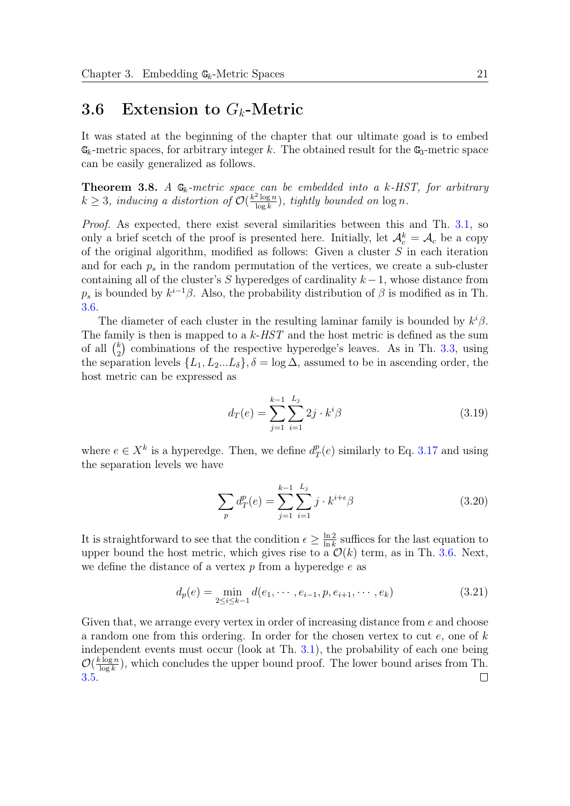## <span id="page-28-0"></span>3.6 Extension to  $G_k$ -Metric

It was stated at the beginning of the chapter that our ultimate goad is to embed  $\mathbb{G}_k$ -metric spaces, for arbitrary integer k. The obtained result for the  $\mathbb{G}_3$ -metric space can be easily generalized as follows.

<span id="page-28-1"></span>**Theorem 3.8.** A  $\mathbb{G}_k$ -metric space can be embedded into a k-HST, for arbitrary  $k \geq 3$ , inducing a distortion of  $\mathcal{O}(\frac{k^2 \log n}{\log k})$  $\frac{2\log n}{\log k}$ , tightly bounded on  $\log n$ .

Proof. As expected, there exist several similarities between this and Th. [3.1,](#page-23-3) so only a brief scetch of the proof is presented here. Initially, let  $\mathcal{A}_c^k = \mathcal{A}_c$  be a copy of the original algorithm, modified as follows: Given a cluster S in each iteration and for each  $p_s$  in the random permutation of the vertices, we create a sub-cluster containing all of the cluster's S hyperedges of cardinality  $k-1$ , whose distance from  $p_s$  is bounded by  $k^{i-1}\beta$ . Also, the probability distribution of  $\beta$  is modified as in Th. [3.6.](#page-27-0)

The diameter of each cluster in the resulting laminar family is bounded by  $k^i\beta$ . The family is then is mapped to a  $k$ - $HST$  and the host metric is defined as the sum of all  $\binom{k}{2}$  $_{2}^{k}$ ) combinations of the respective hyperedge's leaves. As in Th. [3.3,](#page-23-2) using the separation levels  $\{L_1, L_2...L_{\delta}\}, \delta = \log \Delta$ , assumed to be in ascending order, the host metric can be expressed as

$$
d_T(e) = \sum_{j=1}^{k-1} \sum_{i=1}^{L_j} 2j \cdot k^i \beta \tag{3.19}
$$

where  $e \in X^k$  is a hyperedge. Then, we define  $d_7^p$  $T(T^p(e)$  similarly to Eq. [3.17](#page-27-1) and using the separation levels we have

$$
\sum_{p} d_{T}^{p}(e) = \sum_{j=1}^{k-1} \sum_{i=1}^{L_{j}} j \cdot k^{i+\epsilon} \beta
$$
\n(3.20)

It is straightforward to see that the condition  $\epsilon \geq \frac{\ln 2}{\ln k}$  $\frac{\ln 2}{\ln k}$  suffices for the last equation to upper bound the host metric, which gives rise to a  $\mathcal{O}(k)$  term, as in Th. [3.6.](#page-27-0) Next, we define the distance of a vertex  $p$  from a hyperedge  $e$  as

$$
d_p(e) = \min_{2 \le i \le k-1} d(e_1, \cdots, e_{i-1}, p, e_{i+1}, \cdots, e_k)
$$
 (3.21)

Given that, we arrange every vertex in order of increasing distance from  $e$  and choose a random one from this ordering. In order for the chosen vertex to cut  $e$ , one of  $k$ independent events must occur (look at Th. [3.1\)](#page-23-3), the probability of each one being  $\mathcal{O}(\frac{k \log n}{\log k})$  $\frac{\log n}{\log k}$ ), which concludes the upper bound proof. The lower bound arises from Th. [3.5.](#page-26-2) $\Box$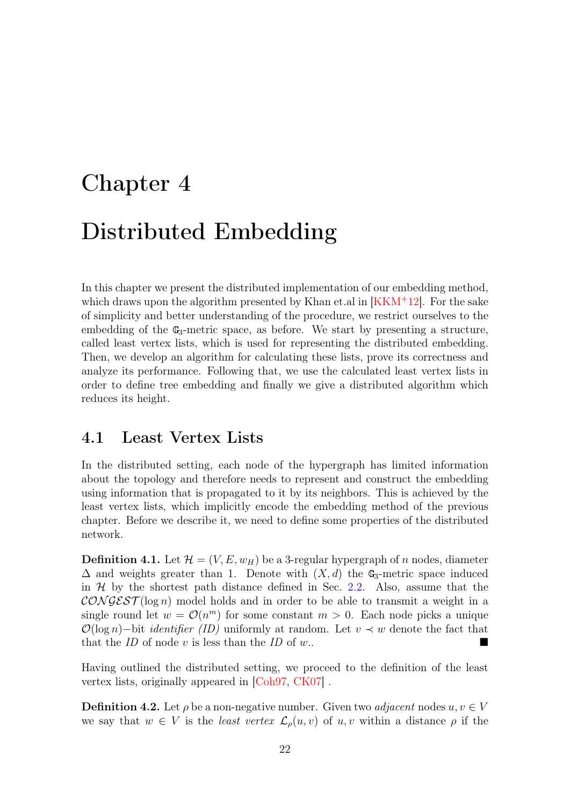# <span id="page-29-0"></span>Chapter 4 Distributed Embedding

In this chapter we present the distributed implementation of our embedding method, which draws upon the algorithm presented by Khan et.al in  $[KKM^+12]$  $[KKM^+12]$ . For the sake of simplicity and better understanding of the procedure, we restrict ourselves to the embedding of the  $\mathbb{G}_3$ -metric space, as before. We start by presenting a structure, called least vertex lists, which is used for representing the distributed embedding. Then, we develop an algorithm for calculating these lists, prove its correctness and analyze its performance. Following that, we use the calculated least vertex lists in order to define tree embedding and finally we give a distributed algorithm which reduces its height.

## <span id="page-29-1"></span>4.1 Least Vertex Lists

In the distributed setting, each node of the hypergraph has limited information about the topology and therefore needs to represent and construct the embedding using information that is propagated to it by its neighbors. This is achieved by the least vertex lists, which implicitly encode the embedding method of the previous chapter. Before we describe it, we need to define some properties of the distributed network.

<span id="page-29-2"></span>**Definition 4.1.** Let  $\mathcal{H} = (V, E, w_H)$  be a 3-regular hypergraph of n nodes, diameter  $\Delta$  and weights greater than 1. Denote with  $(X, d)$  the G<sub>3</sub>-metric space induced in  $H$  by the shortest path distance defined in Sec. [2.2.](#page-14-0) Also, assume that the  $\mathcal{CONGEST}(\log n)$  model holds and in order to be able to transmit a weight in a single round let  $w = \mathcal{O}(n^m)$  for some constant  $m > 0$ . Each node picks a unique  $\mathcal{O}(\log n)$ −bit *identifier* (*ID*) uniformly at random. Let  $v \prec w$  denote the fact that that the ID of node v is less than the ID of w..

Having outlined the distributed setting, we proceed to the definition of the least vertex lists, originally appeared in [\[Coh97,](#page-39-9) [CK07\]](#page-39-10) .

**Definition 4.2.** Let  $\rho$  be a non-negative number. Given two *adjacent* nodes  $u, v \in V$ we say that  $w \in V$  is the least vertex  $\mathcal{L}_{\rho}(u, v)$  of  $u, v$  within a distance  $\rho$  if the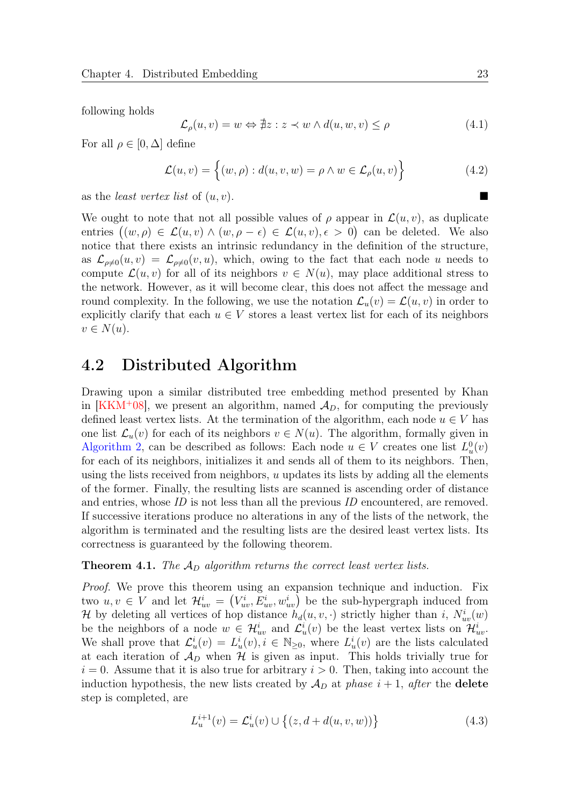following holds

$$
\mathcal{L}_{\rho}(u,v) = w \Leftrightarrow \nexists z : z \prec w \land d(u,w,v) \le \rho \tag{4.1}
$$

For all  $\rho \in [0, \Delta]$  define

$$
\mathcal{L}(u,v) = \left\{ (w,\rho) : d(u,v,w) = \rho \wedge w \in \mathcal{L}_{\rho}(u,v) \right\}
$$
 (4.2)

as the *least vertex list* of  $(u, v)$ .

We ought to note that not all possible values of  $\rho$  appear in  $\mathcal{L}(u, v)$ , as duplicate entries  $((w, \rho) \in \mathcal{L}(u, v) \wedge (w, \rho - \epsilon) \in \mathcal{L}(u, v), \epsilon > 0)$  can be deleted. We also notice that there exists an intrinsic redundancy in the definition of the structure, as  $\mathcal{L}_{\rho\neq0}(u, v) = \mathcal{L}_{\rho\neq0}(v, u)$ , which, owing to the fact that each node u needs to compute  $\mathcal{L}(u, v)$  for all of its neighbors  $v \in N(u)$ , may place additional stress to the network. However, as it will become clear, this does not affect the message and round complexity. In the following, we use the notation  $\mathcal{L}_u(v) = \mathcal{L}(u, v)$  in order to explicitly clarify that each  $u \in V$  stores a least vertex list for each of its neighbors  $v \in N(u)$ .

### <span id="page-30-0"></span>4.2 Distributed Algorithm

Drawing upon a similar distributed tree embedding method presented by Khan in [\[KKM](#page-40-8)<sup>+</sup>08], we present an algorithm, named  $\mathcal{A}_D$ , for computing the previously defined least vertex lists. At the termination of the algorithm, each node  $u \in V$  has one list  $\mathcal{L}_u(v)$  for each of its neighbors  $v \in N(u)$ . The algorithm, formally given in [Algorithm 2,](#page-30-1) can be described as follows: Each node  $u \in V$  creates one list  $L^0_u(v)$ for each of its neighbors, initializes it and sends all of them to its neighbors. Then, using the lists received from neighbors,  $u$  updates its lists by adding all the elements of the former. Finally, the resulting lists are scanned is ascending order of distance and entries, whose ID is not less than all the previous ID encountered, are removed. If successive iterations produce no alterations in any of the lists of the network, the algorithm is terminated and the resulting lists are the desired least vertex lists. Its correctness is guaranteed by the following theorem.

<span id="page-30-1"></span>**Theorem 4.1.** The  $\mathcal{A}_D$  algorithm returns the correct least vertex lists.

Proof. We prove this theorem using an expansion technique and induction. Fix two  $u, v \in V$  and let  $\mathcal{H}_{uv}^i = (V_{uv}^i, E_{uv}^i, w_{uv}^i)$  be the sub-hypergraph induced from H by deleting all vertices of hop distance  $h_d(u, v, \cdot)$  strictly higher than i,  $N_{uv}^i(w)$ be the neighbors of a node  $w \in \mathcal{H}_{uv}^i$  and  $\mathcal{L}_{u}^i(v)$  be the least vertex lists on  $\mathcal{H}_{uv}^i$ . We shall prove that  $\mathcal{L}^i_u(v) = L^i_u(v), i \in \mathbb{N}_{\geq 0}$ , where  $L^i_u(v)$  are the lists calculated at each iteration of  $\mathcal{A}_D$  when  $\mathcal H$  is given as input. This holds trivially true for  $i = 0$ . Assume that it is also true for arbitrary  $i > 0$ . Then, taking into account the induction hypothesis, the new lists created by  $\mathcal{A}_D$  at phase  $i + 1$ , after the **delete** step is completed, are

$$
L_u^{i+1}(v) = \mathcal{L}_u^i(v) \cup \{(z, d + d(u, v, w))\}
$$
\n(4.3)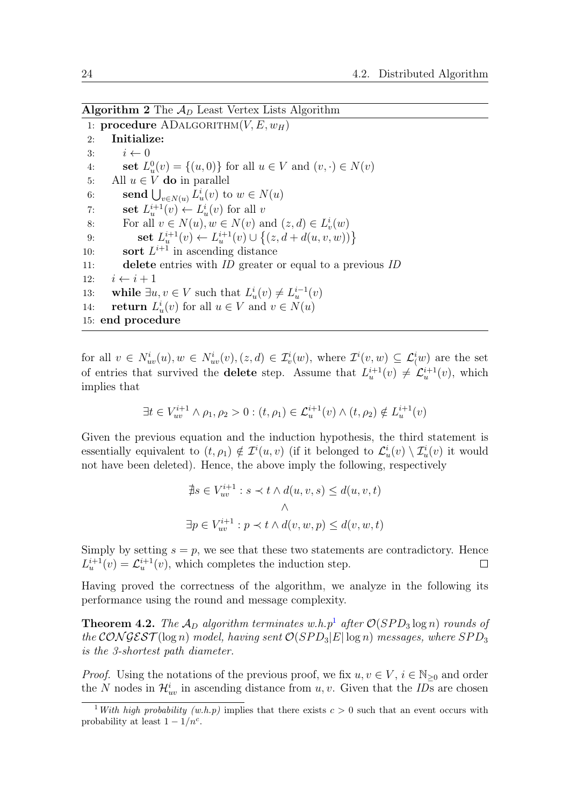Algorithm 2 The  $A_D$  Least Vertex Lists Algorithm

1: procedure ADALGORITHM $(V, E, w_H)$ 2: Initialize: 3:  $i \leftarrow 0$ 4: **set**  $L_u^0(v) = \{(u, 0)\}\)$  for all  $u \in V$  and  $(v, \cdot) \in N(v)$ 5: All  $u \in V$  do in parallel 6: **send**  $\bigcup_{v \in N(u)} L^i_u(v)$  to  $w \in N(u)$ 7: **set**  $L_u^{i+1}(v) \leftarrow L_u^i(v)$  for all v 8: For all  $v \in N(u)$ ,  $w \in N(v)$  and  $(z, d) \in L_v^i(w)$ 9: **set**  $L_u^{i+1}(v) \leftarrow L_u^{i+1}(v) \cup \{(z, d + d(u, v, w))\}$ 10: **sort**  $L^{i+1}$  in ascending distance 11: delete entries with ID greater or equal to a previous ID 12:  $i \leftarrow i + 1$ 13: while  $\exists u, v \in V$  such that  $L^i_u(v) \neq L^{i-1}_u(v)$ 14: **return**  $L_u^i(v)$  for all  $u \in V$  and  $v \in N(u)$ 15: end procedure

for all  $v \in N_{uv}^i(u), w \in N_{uv}^i(v), (z, d) \in \mathcal{I}_{v}^i(w)$ , where  $\mathcal{I}^i(v, w) \subseteq \mathcal{L}_{(w)}^i$  are the set of entries that survived the **delete** step. Assume that  $L_u^{i+1}(v) \neq L_u^{i+1}(v)$ , which implies that

$$
\exists t \in V_{uv}^{i+1} \land \rho_1, \rho_2 > 0 : (t, \rho_1) \in \mathcal{L}_u^{i+1}(v) \land (t, \rho_2) \notin L_u^{i+1}(v)
$$

Given the previous equation and the induction hypothesis, the third statement is essentially equivalent to  $(t, \rho_1) \notin \mathcal{I}^i(u, v)$  (if it belonged to  $\mathcal{L}^i_u(v) \setminus \mathcal{I}^i_u(v)$  it would not have been deleted). Hence, the above imply the following, respectively

$$
\begin{aligned} \n\exists s \in V_{uv}^{i+1} : s &< t \land d(u, v, s) \le d(u, v, t) \\ \n\land \n\end{aligned}
$$
\n
$$
\exists p \in V_{uv}^{i+1} : p &< t \land d(v, w, p) \le d(v, w, t)
$$

Simply by setting  $s = p$ , we see that these two statements are contradictory. Hence  $L_u^{i+1}(v) = \mathcal{L}_u^{i+1}(v)$ , which completes the induction step.  $\Box$ 

Having proved the correctness of the algorithm, we analyze in the following its performance using the round and message complexity.

<span id="page-31-1"></span>**Theorem 4.2.** The  $\mathcal{A}_D$  algorithm terminates w.h.p<sup>[1](#page-31-0)</sup> after  $\mathcal{O}(SPD_3 \log n)$  rounds of the CONGEST (log n) model, having sent  $\mathcal{O}(SPD_3|E|\log n)$  messages, where  $SPD_3$ is the 3-shortest path diameter.

*Proof.* Using the notations of the previous proof, we fix  $u, v \in V$ ,  $i \in \mathbb{N}_{\geq 0}$  and order the N nodes in  $\mathcal{H}_{uv}^i$  in ascending distance from  $u, v$ . Given that the *ID*s are chosen

<span id="page-31-0"></span><sup>&</sup>lt;sup>1</sup>With high probability (w.h.p) implies that there exists  $c > 0$  such that an event occurs with probability at least  $1 - 1/n^c$ .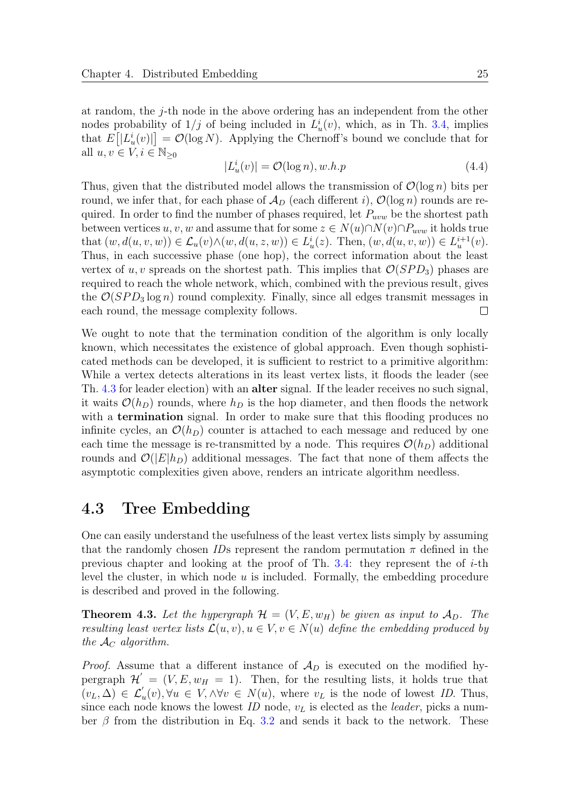at random, the j-th node in the above ordering has an independent from the other nodes probability of  $1/j$  of being included in  $L^i_u(v)$ , which, as in Th. [3.4,](#page-24-2) implies that  $E[|L_u^i(v)|] = \mathcal{O}(\log N)$ . Applying the Chernoff's bound we conclude that for all  $u, v \in V, i \in \mathbb{N}_{\geq 0}$ 

$$
|L_u^i(v)| = \mathcal{O}(\log n), w.h.p \tag{4.4}
$$

Thus, given that the distributed model allows the transmission of  $\mathcal{O}(\log n)$  bits per round, we infer that, for each phase of  $\mathcal{A}_D$  (each different i),  $\mathcal{O}(\log n)$  rounds are required. In order to find the number of phases required, let  $P_{uvw}$  be the shortest path between vertices  $u, v, w$  and assume that for some  $z \in N(u) \cap N(v) \cap P_{uvw}$  it holds true that  $(w, d(u, v, w)) \in \mathcal{L}_u(v) \wedge (w, d(u, z, w)) \in L^i_u(z)$ . Then,  $(w, d(u, v, w)) \in L^{i+1}_u(v)$ . Thus, in each successive phase (one hop), the correct information about the least vertex of u, v spreads on the shortest path. This implies that  $\mathcal{O}(SPD_3)$  phases are required to reach the whole network, which, combined with the previous result, gives the  $\mathcal{O}(SPD_3 \log n)$  round complexity. Finally, since all edges transmit messages in each round, the message complexity follows.  $\Box$ 

We ought to note that the termination condition of the algorithm is only locally known, which necessitates the existence of global approach. Even though sophisticated methods can be developed, it is sufficient to restrict to a primitive algorithm: While a vertex detects alterations in its least vertex lists, it floods the leader (see Th. [4.3](#page-32-1) for leader election) with an alter signal. If the leader receives no such signal, it waits  $\mathcal{O}(h_D)$  rounds, where  $h_D$  is the hop diameter, and then floods the network with a **termination** signal. In order to make sure that this flooding produces no infinite cycles, an  $\mathcal{O}(h_D)$  counter is attached to each message and reduced by one each time the message is re-transmitted by a node. This requires  $\mathcal{O}(h_D)$  additional rounds and  $\mathcal{O}(|E|h_D)$  additional messages. The fact that none of them affects the asymptotic complexities given above, renders an intricate algorithm needless.

## <span id="page-32-0"></span>4.3 Tree Embedding

One can easily understand the usefulness of the least vertex lists simply by assuming that the randomly chosen IDs represent the random permutation  $\pi$  defined in the previous chapter and looking at the proof of Th.  $3.4$ : they represent the of *i*-th level the cluster, in which node  $u$  is included. Formally, the embedding procedure is described and proved in the following.

<span id="page-32-1"></span>**Theorem 4.3.** Let the hypergraph  $\mathcal{H} = (V, E, w_H)$  be given as input to  $\mathcal{A}_D$ . The resulting least vertex lists  $\mathcal{L}(u, v), u \in V, v \in N(u)$  define the embedding produced by the  $A_C$  algorithm.

*Proof.* Assume that a different instance of  $\mathcal{A}_D$  is executed on the modified hypergraph  $\mathcal{H}' = (V, E, w_H = 1)$ . Then, for the resulting lists, it holds true that  $(v_L, \Delta) \in \mathcal{L}'_u(v), \forall u \in V, \wedge \forall v \in N(u), \text{ where } v_L \text{ is the node of lowest } ID. \text{ Thus,}$ since each node knows the lowest  $ID$  node,  $v<sub>L</sub>$  is elected as the *leader*, picks a number  $\beta$  from the distribution in Eq. [3.2](#page-20-1) and sends it back to the network. These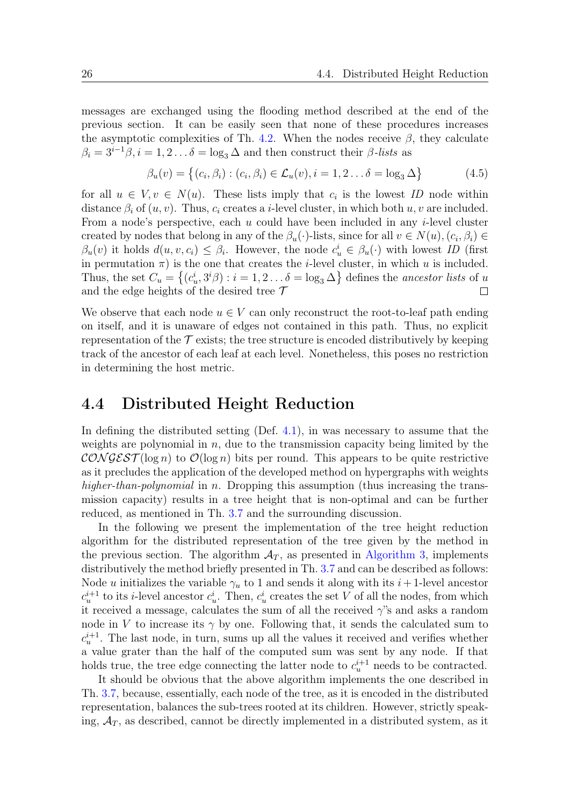messages are exchanged using the flooding method described at the end of the previous section. It can be easily seen that none of these procedures increases the asymptotic complexities of Th. [4.2.](#page-31-1) When the nodes receive  $\beta$ , they calculate  $\beta_i = 3^{i-1}\beta, i = 1, 2 \dots \delta = \log_3 \Delta$  and then construct their  $\beta$ -lists as

$$
\beta_u(v) = \left\{ (c_i, \beta_i) : (c_i, \beta_i) \in \mathcal{L}_u(v), i = 1, 2 \dots \delta = \log_3 \Delta \right\}
$$
(4.5)

for all  $u \in V, v \in N(u)$ . These lists imply that  $c_i$  is the lowest ID node within distance  $\beta_i$  of  $(u, v)$ . Thus,  $c_i$  creates a *i*-level cluster, in which both u, v are included. From a node's perspective, each  $u$  could have been included in any *i*-level cluster created by nodes that belong in any of the  $\beta_u(\cdot)$ -lists, since for all  $v \in N(u)$ ,  $(c_i, \beta_i) \in$  $\beta_u(v)$  it holds  $d(u, v, c_i) \leq \beta_i$ . However, the node  $c_u^i \in \beta_u(\cdot)$  with lowest ID (first in permutation  $\pi$ ) is the one that creates the *i*-level cluster, in which u is included. Thus, the set  $C_u = \{(c_u^i, 3^i\beta) : i = 1, 2 \dots \delta = \log_3 \Delta\}$  defines the *ancestor lists* of u and the edge heights of the desired tree  $\mathcal T$  $\Box$ 

We observe that each node  $u \in V$  can only reconstruct the root-to-leaf path ending on itself, and it is unaware of edges not contained in this path. Thus, no explicit representation of the  $\mathcal T$  exists; the tree structure is encoded distributively by keeping track of the ancestor of each leaf at each level. Nonetheless, this poses no restriction in determining the host metric.

### <span id="page-33-0"></span>4.4 Distributed Height Reduction

In defining the distributed setting (Def. [4.1\)](#page-29-2), in was necessary to assume that the weights are polynomial in  $n$ , due to the transmission capacity being limited by the  $\mathcal{CONGEST}(\log n)$  to  $\mathcal{O}(\log n)$  bits per round. This appears to be quite restrictive as it precludes the application of the developed method on hypergraphs with weights higher-than-polynomial in n. Dropping this assumption (thus increasing the transmission capacity) results in a tree height that is non-optimal and can be further reduced, as mentioned in Th. [3.7](#page-27-2) and the surrounding discussion.

In the following we present the implementation of the tree height reduction algorithm for the distributed representation of the tree given by the method in the previous section. The algorithm  $A_T$ , as presented in [Algorithm 3,](#page-33-1) implements distributively the method briefly presented in Th. [3.7](#page-27-2) and can be described as follows: Node u initializes the variable  $\gamma_u$  to 1 and sends it along with its i + 1-level ancestor  $c_u^{i+1}$  to its *i*-level ancestor  $c_u^i$ . Then,  $c_u^i$  creates the set V of all the nodes, from which it received a message, calculates the sum of all the received  $\gamma$ 's and asks a random node in V to increase its  $\gamma$  by one. Following that, it sends the calculated sum to  $c_u^{i+1}$ . The last node, in turn, sums up all the values it received and verifies whether a value grater than the half of the computed sum was sent by any node. If that holds true, the tree edge connecting the latter node to  $c_u^{i+1}$  needs to be contracted.

<span id="page-33-1"></span>It should be obvious that the above algorithm implements the one described in Th. [3.7,](#page-27-2) because, essentially, each node of the tree, as it is encoded in the distributed representation, balances the sub-trees rooted at its children. However, strictly speaking,  $A_T$ , as described, cannot be directly implemented in a distributed system, as it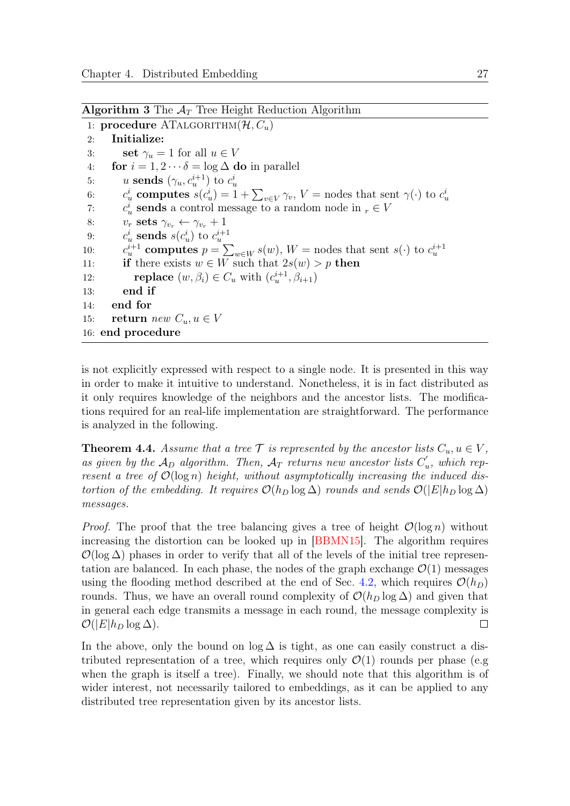**Algorithm 3** The  $A_T$  Tree Height Reduction Algorithm

1: procedure  $ATALGORITHM(\mathcal{H}, C_u)$ 2: Initialize: 3: **set**  $\gamma_u = 1$  for all  $u \in V$ 4: for  $i = 1, 2 \cdots \delta = \log \Delta$  do in parallel 5:  $u \text{ sends } (\gamma_u, c_u^{i+1}) \text{ to } c_u^i$ 6:  $c_u^i$  computes  $s(c_u^i) = 1 + \sum_{v \in V} \gamma_v$ ,  $V =$  nodes that sent  $\gamma(\cdot)$  to  $c_u^i$  $7:$  $u^i_u$  sends a control message to a random node in  $r \in V$ 8:  $v_r$  sets  $\gamma_{v_r} \leftarrow \gamma_{v_r} + 1$ 9:  $c_u^i$  sends  $s(c_u^i)$  to  $c_u^{i+1}$  $10:$  $u^{i+1}$  computes  $p = \sum_{w \in W} s(w)$ ,  $W =$  nodes that sent  $s(\cdot)$  to  $c_u^{i+1}$ 11: **if** there exists  $w \in W$  such that  $2s(w) > p$  then 12: **replace**  $(w, \beta_i) \in C_u$  with  $(c_u^{i+1}, \beta_{i+1})$ 13: end if 14: end for 15: **return** new  $C_u, u \in V$ 16: end procedure

is not explicitly expressed with respect to a single node. It is presented in this way in order to make it intuitive to understand. Nonetheless, it is in fact distributed as it only requires knowledge of the neighbors and the ancestor lists. The modifications required for an real-life implementation are straightforward. The performance is analyzed in the following.

<span id="page-34-0"></span>**Theorem 4.4.** Assume that a tree  $\mathcal{T}$  is represented by the ancestor lists  $C_u, u \in V$ , as given by the  $\mathcal{A}_D$  algorithm. Then,  $\mathcal{A}_T$  returns new ancestor lists  $C'_i$  $u'_u$ , which represent a tree of  $\mathcal{O}(\log n)$  height, without asymptotically increasing the induced distortion of the embedding. It requires  $\mathcal{O}(h_D \log \Delta)$  rounds and sends  $\mathcal{O}(|E|h_D \log \Delta)$ messages.

*Proof.* The proof that the tree balancing gives a tree of height  $\mathcal{O}(\log n)$  without increasing the distortion can be looked up in [\[BBMN15\]](#page-38-7). The algorithm requires  $\mathcal{O}(\log \Delta)$  phases in order to verify that all of the levels of the initial tree representation are balanced. In each phase, the nodes of the graph exchange  $\mathcal{O}(1)$  messages using the flooding method described at the end of Sec. [4.2,](#page-30-0) which requires  $\mathcal{O}(h_D)$ rounds. Thus, we have an overall round complexity of  $\mathcal{O}(h_D \log \Delta)$  and given that in general each edge transmits a message in each round, the message complexity is  $\mathcal{O}(|E|h_D \log \Delta)$ .  $\Box$ 

In the above, only the bound on  $\log \Delta$  is tight, as one can easily construct a distributed representation of a tree, which requires only  $\mathcal{O}(1)$  rounds per phase (e.g when the graph is itself a tree). Finally, we should note that this algorithm is of wider interest, not necessarily tailored to embeddings, as it can be applied to any distributed tree representation given by its ancestor lists.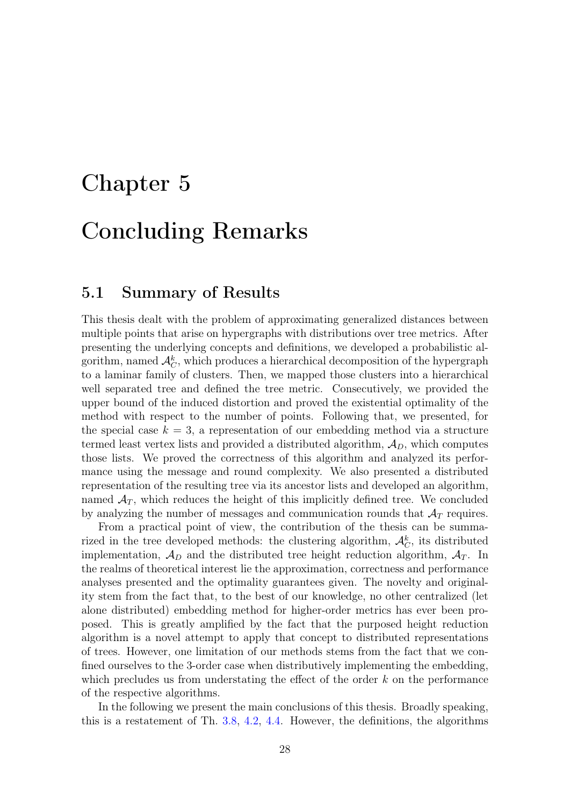# <span id="page-35-0"></span>Chapter 5 Concluding Remarks

# <span id="page-35-1"></span>5.1 Summary of Results

This thesis dealt with the problem of approximating generalized distances between multiple points that arise on hypergraphs with distributions over tree metrics. After presenting the underlying concepts and definitions, we developed a probabilistic algorithm, named  $\mathcal{A}_{C}^{k}$ , which produces a hierarchical decomposition of the hypergraph to a laminar family of clusters. Then, we mapped those clusters into a hierarchical well separated tree and defined the tree metric. Consecutively, we provided the upper bound of the induced distortion and proved the existential optimality of the method with respect to the number of points. Following that, we presented, for the special case  $k = 3$ , a representation of our embedding method via a structure termed least vertex lists and provided a distributed algorithm,  $A<sub>D</sub>$ , which computes those lists. We proved the correctness of this algorithm and analyzed its performance using the message and round complexity. We also presented a distributed representation of the resulting tree via its ancestor lists and developed an algorithm, named  $\mathcal{A}_T$ , which reduces the height of this implicitly defined tree. We concluded by analyzing the number of messages and communication rounds that  $A_T$  requires.

From a practical point of view, the contribution of the thesis can be summarized in the tree developed methods: the clustering algorithm,  $\mathcal{A}_{C}^{k}$ , its distributed implementation,  $\mathcal{A}_D$  and the distributed tree height reduction algorithm,  $\mathcal{A}_T$ . In the realms of theoretical interest lie the approximation, correctness and performance analyses presented and the optimality guarantees given. The novelty and originality stem from the fact that, to the best of our knowledge, no other centralized (let alone distributed) embedding method for higher-order metrics has ever been proposed. This is greatly amplified by the fact that the purposed height reduction algorithm is a novel attempt to apply that concept to distributed representations of trees. However, one limitation of our methods stems from the fact that we confined ourselves to the 3-order case when distributively implementing the embedding, which precludes us from understating the effect of the order  $k$  on the performance of the respective algorithms.

In the following we present the main conclusions of this thesis. Broadly speaking, this is a restatement of Th. [3.8,](#page-28-1) [4.2,](#page-31-1) [4.4.](#page-34-0) However, the definitions, the algorithms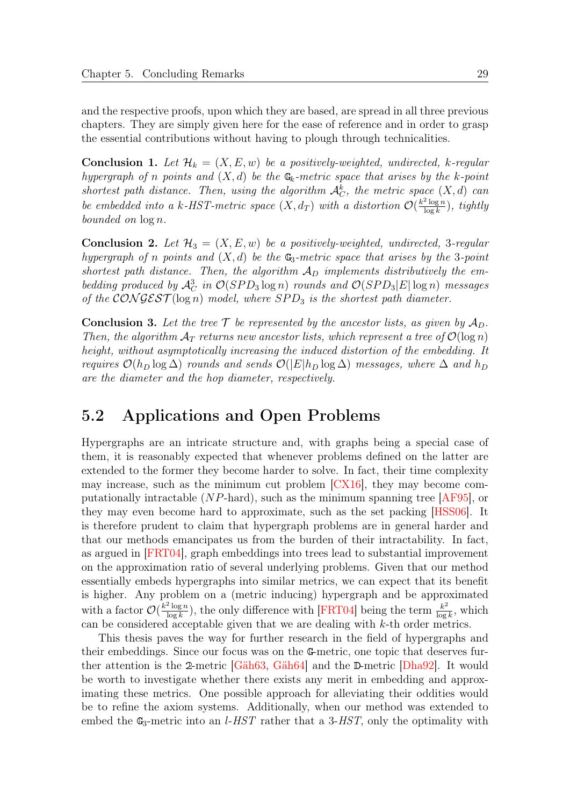and the respective proofs, upon which they are based, are spread in all three previous chapters. They are simply given here for the ease of reference and in order to grasp the essential contributions without having to plough through technicalities.

**Conclusion 1.** Let  $\mathcal{H}_k = (X, E, w)$  be a positively-weighted, undirected, k-regular hypergraph of n points and  $(X, d)$  be the  $\mathbb{G}_k$ -metric space that arises by the k-point shortest path distance. Then, using the algorithm  $\mathcal{A}_{C}^{k}$ , the metric space  $(X, d)$  can be embedded into a k-HST-metric space  $(X, d_T)$  with a distortion  $\mathcal{O}(\frac{k^2 \log n}{\log k})$  $\frac{\log n}{\log k}$ ), tightly bounded on log n.

**Conclusion 2.** Let  $\mathcal{H}_3 = (X, E, w)$  be a positively-weighted, undirected, 3-regular hypergraph of n points and  $(X, d)$  be the  $\mathbb{G}_3$ -metric space that arises by the 3-point shortest path distance. Then, the algorithm  $A_D$  implements distributively the embedding produced by  $\mathcal{A}_{C}^{3}$  in  $\mathcal{O}(SPD_{3} \log n)$  rounds and  $\mathcal{O}(SPD_{3}|E| \log n)$  messages of the CONGEST( $log n$ ) model, where SPD<sub>3</sub> is the shortest path diameter.

**Conclusion 3.** Let the tree  $\mathcal T$  be represented by the ancestor lists, as given by  $\mathcal A_D$ . Then, the algorithm  $A_T$  returns new ancestor lists, which represent a tree of  $\mathcal{O}(\log n)$ height, without asymptotically increasing the induced distortion of the embedding. It requires  $\mathcal{O}(h_D \log \Delta)$  rounds and sends  $\mathcal{O}(|E|h_D \log \Delta)$  messages, where  $\Delta$  and  $h_D$ are the diameter and the hop diameter, respectively.

# <span id="page-36-0"></span>5.2 Applications and Open Problems

Hypergraphs are an intricate structure and, with graphs being a special case of them, it is reasonably expected that whenever problems defined on the latter are extended to the former they become harder to solve. In fact, their time complexity may increase, such as the minimum cut problem [\[CX16\]](#page-39-11), they may become computationally intractable (NP-hard), such as the minimum spanning tree [\[AF95\]](#page-38-8), or they may even become hard to approximate, such as the set packing [\[HSS06\]](#page-40-9). It is therefore prudent to claim that hypergraph problems are in general harder and that our methods emancipates us from the burden of their intractability. In fact, as argued in [\[FRT04\]](#page-40-2), graph embeddings into trees lead to substantial improvement on the approximation ratio of several underlying problems. Given that our method essentially embeds hypergraphs into similar metrics, we can expect that its benefit is higher. Any problem on a (metric inducing) hypergraph and be approximated with a factor  $\mathcal{O}(\frac{k^2 \log n}{\log k})$  $\frac{\log n}{\log k}$ ), the only difference with [\[FRT04\]](#page-40-2) being the term  $\frac{k^2}{\log k}$  $\frac{k^2}{\log k}$ , which can be considered acceptable given that we are dealing with k-th order metrics.

This thesis paves the way for further research in the field of hypergraphs and their embeddings. Since our focus was on the G-metric, one topic that deserves further attention is the 2-metric [\[Gäh63,](#page-40-6) [Gäh64\]](#page-40-7) and the D-metric [\[Dha92\]](#page-39-8). It would be worth to investigate whether there exists any merit in embedding and approximating these metrics. One possible approach for alleviating their oddities would be to refine the axiom systems. Additionally, when our method was extended to embed the  $\mathbb{G}_3$ -metric into an *l-HST* rather that a 3-HST, only the optimality with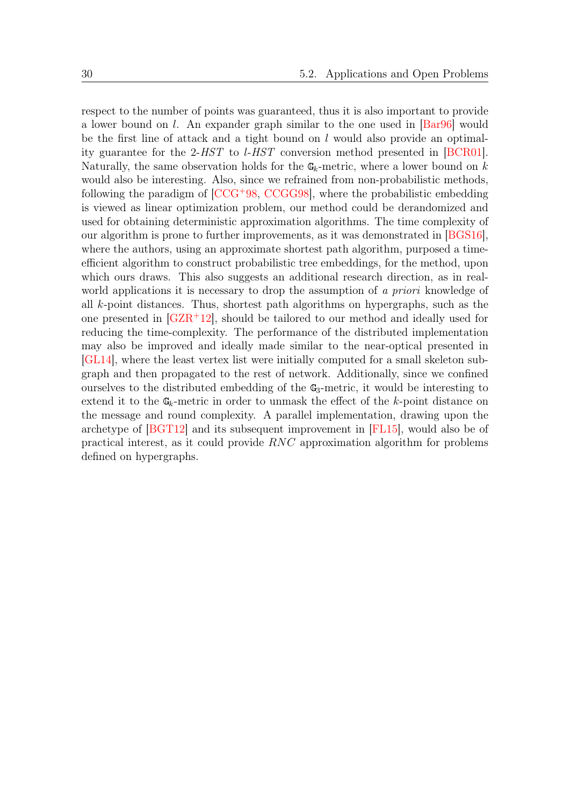respect to the number of points was guaranteed, thus it is also important to provide a lower bound on l. An expander graph similar to the one used in [\[Bar96\]](#page-38-5) would be the first line of attack and a tight bound on  $l$  would also provide an optimality guarantee for the 2-HST to l-HST conversion method presented in [\[BCR01\]](#page-38-9). Naturally, the same observation holds for the  $\mathbb{G}_k$ -metric, where a lower bound on k would also be interesting. Also, since we refrained from non-probabilistic methods, following the paradigm of [\[CCG](#page-39-4)<sup>+</sup>98, [CCGG98\]](#page-39-5), where the probabilistic embedding is viewed as linear optimization problem, our method could be derandomized and used for obtaining deterministic approximation algorithms. The time complexity of our algorithm is prone to further improvements, as it was demonstrated in [\[BGS16\]](#page-39-7), where the authors, using an approximate shortest path algorithm, purposed a timeefficient algorithm to construct probabilistic tree embeddings, for the method, upon which ours draws. This also suggests an additional research direction, as in realworld applications it is necessary to drop the assumption of a priori knowledge of all k-point distances. Thus, shortest path algorithms on hypergraphs, such as the one presented in [\[GZR](#page-40-10)<sup>+</sup>12], should be tailored to our method and ideally used for reducing the time-complexity. The performance of the distributed implementation may also be improved and ideally made similar to the near-optical presented in [\[GL14\]](#page-40-5), where the least vertex list were initially computed for a small skeleton subgraph and then propagated to the rest of network. Additionally, since we confined ourselves to the distributed embedding of the  $\mathbb{G}_3$ -metric, it would be interesting to extend it to the  $\mathbb{G}_k$ -metric in order to unmask the effect of the k-point distance on the message and round complexity. A parallel implementation, drawing upon the archetype of [\[BGT12\]](#page-39-6) and its subsequent improvement in [\[FL15\]](#page-40-3), would also be of practical interest, as it could provide RNC approximation algorithm for problems defined on hypergraphs.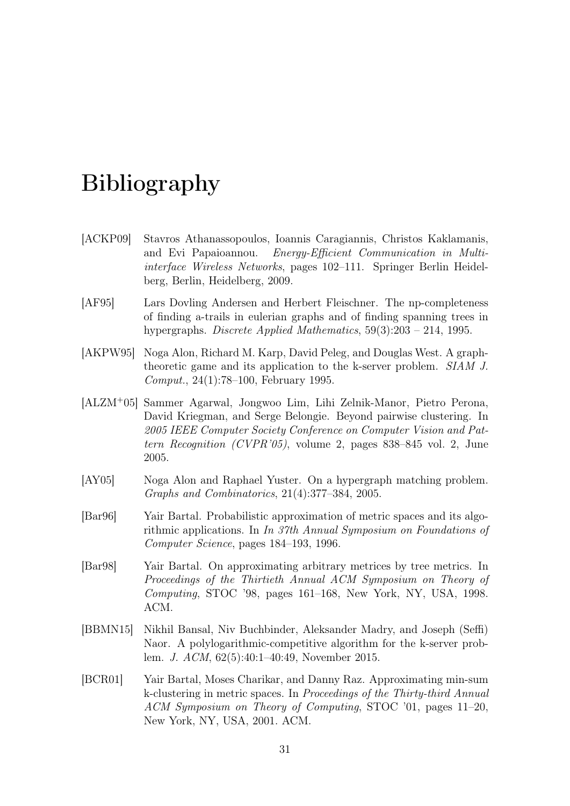# <span id="page-38-0"></span>Bibliography

- <span id="page-38-2"></span>[ACKP09] Stavros Athanassopoulos, Ioannis Caragiannis, Christos Kaklamanis, and Evi Papaioannou. Energy-Efficient Communication in Multiinterface Wireless Networks, pages 102–111. Springer Berlin Heidelberg, Berlin, Heidelberg, 2009.
- <span id="page-38-8"></span>[AF95] Lars Dovling Andersen and Herbert Fleischner. The np-completeness of finding a-trails in eulerian graphs and of finding spanning trees in hypergraphs. Discrete Applied Mathematics, 59(3):203 – 214, 1995.
- <span id="page-38-4"></span>[AKPW95] Noga Alon, Richard M. Karp, David Peleg, and Douglas West. A graphtheoretic game and its application to the k-server problem. SIAM J. Comput., 24(1):78–100, February 1995.
- <span id="page-38-1"></span>[ALZM<sup>+</sup>05] Sammer Agarwal, Jongwoo Lim, Lihi Zelnik-Manor, Pietro Perona, David Kriegman, and Serge Belongie. Beyond pairwise clustering. In 2005 IEEE Computer Society Conference on Computer Vision and Pattern Recognition (CVPR'05), volume 2, pages 838–845 vol. 2, June 2005.
- <span id="page-38-3"></span>[AY05] Noga Alon and Raphael Yuster. On a hypergraph matching problem. Graphs and Combinatorics, 21(4):377–384, 2005.
- <span id="page-38-5"></span>[Bar96] Yair Bartal. Probabilistic approximation of metric spaces and its algorithmic applications. In In 37th Annual Symposium on Foundations of Computer Science, pages 184–193, 1996.
- <span id="page-38-6"></span>[Bar98] Yair Bartal. On approximating arbitrary metrices by tree metrics. In Proceedings of the Thirtieth Annual ACM Symposium on Theory of Computing, STOC '98, pages 161–168, New York, NY, USA, 1998. ACM.
- <span id="page-38-7"></span>[BBMN15] Nikhil Bansal, Niv Buchbinder, Aleksander Madry, and Joseph (Seffi) Naor. A polylogarithmic-competitive algorithm for the k-server problem. J. ACM, 62(5):40:1–40:49, November 2015.
- <span id="page-38-9"></span>[BCR01] Yair Bartal, Moses Charikar, and Danny Raz. Approximating min-sum k-clustering in metric spaces. In Proceedings of the Thirty-third Annual ACM Symposium on Theory of Computing, STOC '01, pages 11–20, New York, NY, USA, 2001. ACM.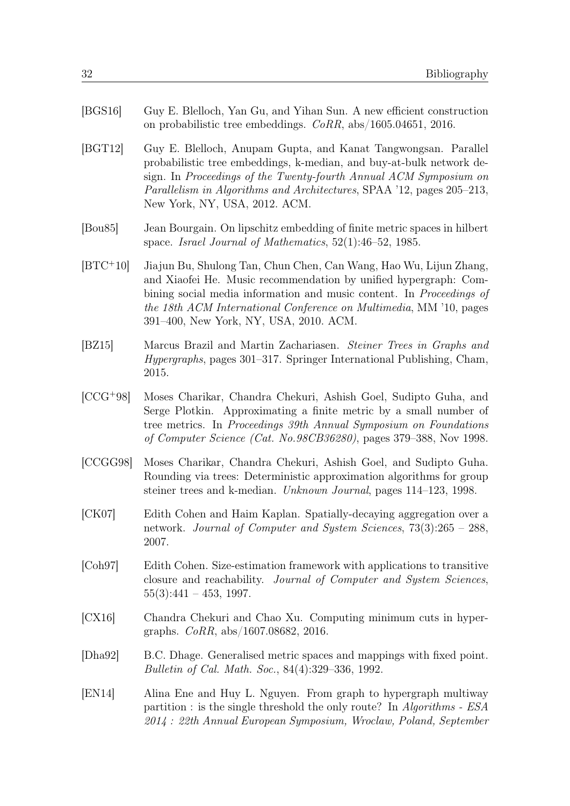- <span id="page-39-7"></span>[BGS16] Guy E. Blelloch, Yan Gu, and Yihan Sun. A new efficient construction on probabilistic tree embeddings. CoRR, abs/1605.04651, 2016.
- <span id="page-39-6"></span>[BGT12] Guy E. Blelloch, Anupam Gupta, and Kanat Tangwongsan. Parallel probabilistic tree embeddings, k-median, and buy-at-bulk network design. In Proceedings of the Twenty-fourth Annual ACM Symposium on Parallelism in Algorithms and Architectures, SPAA '12, pages 205–213, New York, NY, USA, 2012. ACM.
- <span id="page-39-3"></span>[Bou85] Jean Bourgain. On lipschitz embedding of finite metric spaces in hilbert space. Israel Journal of Mathematics, 52(1):46–52, 1985.
- <span id="page-39-0"></span>[BTC<sup>+</sup>10] Jiajun Bu, Shulong Tan, Chun Chen, Can Wang, Hao Wu, Lijun Zhang, and Xiaofei He. Music recommendation by unified hypergraph: Combining social media information and music content. In Proceedings of the 18th ACM International Conference on Multimedia, MM '10, pages 391–400, New York, NY, USA, 2010. ACM.
- <span id="page-39-1"></span>[BZ15] Marcus Brazil and Martin Zachariasen. Steiner Trees in Graphs and Hypergraphs, pages 301–317. Springer International Publishing, Cham, 2015.
- <span id="page-39-4"></span>[CCG<sup>+</sup>98] Moses Charikar, Chandra Chekuri, Ashish Goel, Sudipto Guha, and Serge Plotkin. Approximating a finite metric by a small number of tree metrics. In Proceedings 39th Annual Symposium on Foundations of Computer Science (Cat. No.98CB36280), pages 379–388, Nov 1998.
- <span id="page-39-5"></span>[CCGG98] Moses Charikar, Chandra Chekuri, Ashish Goel, and Sudipto Guha. Rounding via trees: Deterministic approximation algorithms for group steiner trees and k-median. Unknown Journal, pages 114–123, 1998.
- <span id="page-39-10"></span>[CK07] Edith Cohen and Haim Kaplan. Spatially-decaying aggregation over a network. Journal of Computer and System Sciences, 73(3):265 – 288, 2007.
- <span id="page-39-9"></span>[Coh97] Edith Cohen. Size-estimation framework with applications to transitive closure and reachability. Journal of Computer and System Sciences,  $55(3):441 - 453, 1997.$
- <span id="page-39-11"></span>[CX16] Chandra Chekuri and Chao Xu. Computing minimum cuts in hypergraphs. CoRR, abs/1607.08682, 2016.
- <span id="page-39-8"></span>[Dha92] B.C. Dhage. Generalised metric spaces and mappings with fixed point. Bulletin of Cal. Math. Soc., 84(4):329–336, 1992.
- <span id="page-39-2"></span>[EN14] Alina Ene and Huy L. Nguyen. From graph to hypergraph multiway partition : is the single threshold the only route? In Algorithms - ESA 2014 : 22th Annual European Symposium, Wroclaw, Poland, September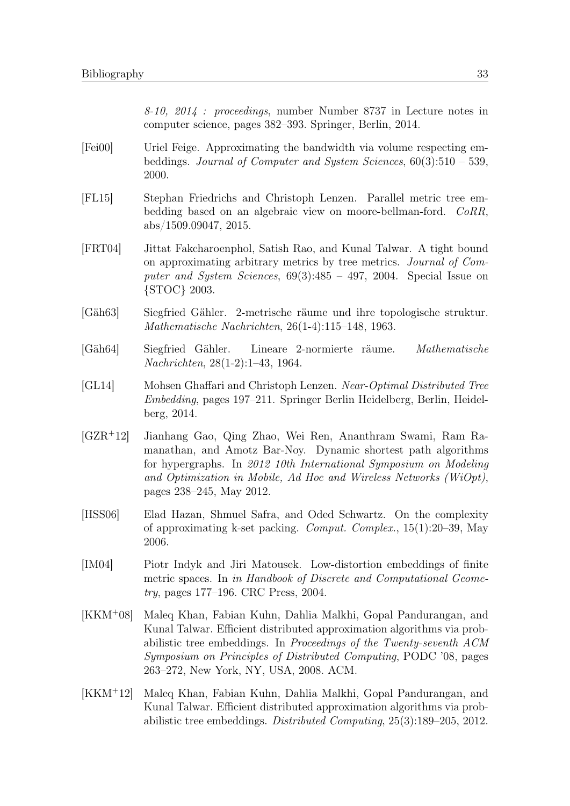8-10, 2014 : proceedings, number Number 8737 in Lecture notes in computer science, pages 382–393. Springer, Berlin, 2014.

- <span id="page-40-0"></span>[Fei00] Uriel Feige. Approximating the bandwidth via volume respecting embeddings. Journal of Computer and System Sciences, 60(3):510 – 539, 2000.
- <span id="page-40-3"></span>[FL15] Stephan Friedrichs and Christoph Lenzen. Parallel metric tree embedding based on an algebraic view on moore-bellman-ford. CoRR, abs/1509.09047, 2015.
- <span id="page-40-2"></span>[FRT04] Jittat Fakcharoenphol, Satish Rao, and Kunal Talwar. A tight bound on approximating arbitrary metrics by tree metrics. Journal of Computer and System Sciences,  $69(3):485 - 497$ , 2004. Special Issue on {STOC} 2003.
- <span id="page-40-6"></span>[Gäh63] Siegfried Gähler. 2-metrische räume und ihre topologische struktur. Mathematische Nachrichten, 26(1-4):115–148, 1963.
- <span id="page-40-7"></span>[Gäh64] Siegfried Gähler. Lineare 2-normierte räume. Mathematische Nachrichten, 28(1-2):1–43, 1964.
- <span id="page-40-5"></span>[GL14] Mohsen Ghaffari and Christoph Lenzen. Near-Optimal Distributed Tree Embedding, pages 197–211. Springer Berlin Heidelberg, Berlin, Heidelberg, 2014.
- <span id="page-40-10"></span>[GZR<sup>+</sup>12] Jianhang Gao, Qing Zhao, Wei Ren, Ananthram Swami, Ram Ramanathan, and Amotz Bar-Noy. Dynamic shortest path algorithms for hypergraphs. In 2012 10th International Symposium on Modeling and Optimization in Mobile, Ad Hoc and Wireless Networks (WiOpt), pages 238–245, May 2012.
- <span id="page-40-9"></span>[HSS06] Elad Hazan, Shmuel Safra, and Oded Schwartz. On the complexity of approximating k-set packing. Comput. Complex., 15(1):20–39, May 2006.
- <span id="page-40-1"></span>[IM04] Piotr Indyk and Jiri Matousek. Low-distortion embeddings of finite metric spaces. In in Handbook of Discrete and Computational Geometry, pages 177–196. CRC Press, 2004.
- <span id="page-40-8"></span>[KKM<sup>+</sup>08] Maleq Khan, Fabian Kuhn, Dahlia Malkhi, Gopal Pandurangan, and Kunal Talwar. Efficient distributed approximation algorithms via probabilistic tree embeddings. In Proceedings of the Twenty-seventh ACM Symposium on Principles of Distributed Computing, PODC '08, pages 263–272, New York, NY, USA, 2008. ACM.
- <span id="page-40-4"></span>[KKM<sup>+</sup>12] Maleq Khan, Fabian Kuhn, Dahlia Malkhi, Gopal Pandurangan, and Kunal Talwar. Efficient distributed approximation algorithms via probabilistic tree embeddings. Distributed Computing, 25(3):189–205, 2012.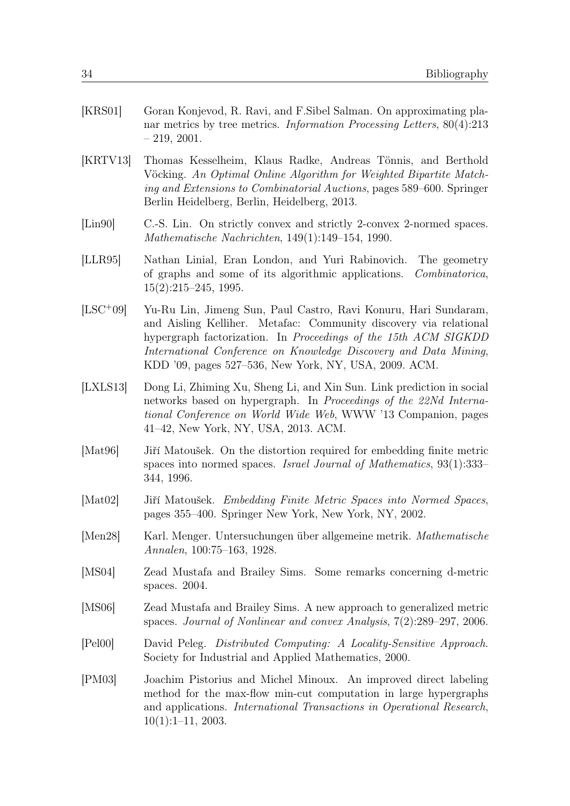<span id="page-41-7"></span><span id="page-41-2"></span>

| [KRS01] | Goran Konjevod, R. Ravi, and F. Sibel Salman. On approximating pla-<br>nar metrics by tree metrics. <i>Information Processing Letters</i> , $80(4):213$<br>$-219, 2001.$                                                                                    |
|---------|-------------------------------------------------------------------------------------------------------------------------------------------------------------------------------------------------------------------------------------------------------------|
| KRTV13  | Thomas Kesselheim, Klaus Radke, Andreas Tönnis, and Berthold<br>Vöcking. An Optimal Online Algorithm for Weighted Bipartite Match-<br>ing and Extensions to Combinatorial Auctions, pages 589–600. Springer<br>Berlin Heidelberg, Berlin, Heidelberg, 2013. |

- <span id="page-41-9"></span>[Lin90] C.-S. Lin. On strictly convex and strictly 2-convex 2-normed spaces. Mathematische Nachrichten, 149(1):149–154, 1990.
- <span id="page-41-4"></span>[LLR95] Nathan Linial, Eran London, and Yuri Rabinovich. The geometry of graphs and some of its algorithmic applications. Combinatorica, 15(2):215–245, 1995.
- <span id="page-41-1"></span>[LSC<sup>+</sup>09] Yu-Ru Lin, Jimeng Sun, Paul Castro, Ravi Konuru, Hari Sundaram, and Aisling Kelliher. Metafac: Community discovery via relational hypergraph factorization. In Proceedings of the 15th ACM SIGKDD International Conference on Knowledge Discovery and Data Mining, KDD '09, pages 527–536, New York, NY, USA, 2009. ACM.
- <span id="page-41-0"></span>[LXLS13] Dong Li, Zhiming Xu, Sheng Li, and Xin Sun. Link prediction in social networks based on hypergraph. In Proceedings of the 22Nd International Conference on World Wide Web, WWW '13 Companion, pages 41–42, New York, NY, USA, 2013. ACM.
- <span id="page-41-5"></span>[Mat96] Jiří Matoušek. On the distortion required for embedding finite metric spaces into normed spaces. Israel Journal of Mathematics, 93(1):333– 344, 1996.
- <span id="page-41-6"></span>[Mat02] Jiří Matoušek. Embedding Finite Metric Spaces into Normed Spaces, pages 355–400. Springer New York, New York, NY, 2002.
- <span id="page-41-8"></span>[Men28] Karl. Menger. Untersuchungen über allgemeine metrik. Mathematische Annalen, 100:75–163, 1928.
- <span id="page-41-10"></span>[MS04] Zead Mustafa and Brailey Sims. Some remarks concerning d-metric spaces. 2004.
- <span id="page-41-11"></span>[MS06] Zead Mustafa and Brailey Sims. A new approach to generalized metric spaces. Journal of Nonlinear and convex Analysis, 7(2):289–297, 2006.
- <span id="page-41-12"></span>[Pel00] David Peleg. Distributed Computing: A Locality-Sensitive Approach. Society for Industrial and Applied Mathematics, 2000.
- <span id="page-41-3"></span>[PM03] Joachim Pistorius and Michel Minoux. An improved direct labeling method for the max-flow min-cut computation in large hypergraphs and applications. International Transactions in Operational Research,  $10(1):1-11$ , 2003.